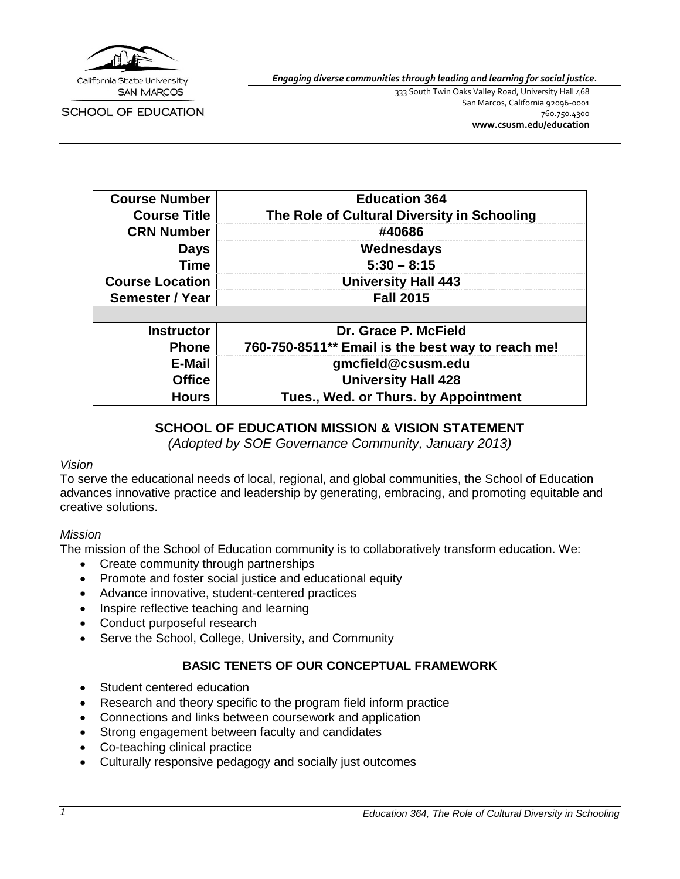

SCHOOL OF EDUCATION

*Engaging diverse communities through leading and learning for social justice.*

333 South Twin Oaks Valley Road, University Hall 468 San Marcos, California 92096-0001 760.750.4300 **[www.csusm.edu/education](http://www.csusm.edu/education)**

| <b>Course Number</b>   | <b>Education 364</b>                              |
|------------------------|---------------------------------------------------|
| <b>Course Title</b>    | The Role of Cultural Diversity in Schooling       |
| <b>CRN Number</b>      | #40686                                            |
| <b>Days</b>            | Wednesdays                                        |
| <b>Time</b>            | $5:30 - 8:15$                                     |
| <b>Course Location</b> | <b>University Hall 443</b>                        |
| Semester / Year        | <b>Fall 2015</b>                                  |
|                        |                                                   |
| <b>Instructor</b>      | Dr. Grace P. McField                              |
| <b>Phone</b>           | 760-750-8511** Email is the best way to reach me! |
| <b>E-Mail</b>          | gmcfield@csusm.edu                                |
| <b>Office</b>          | <b>University Hall 428</b>                        |
| <b>Hours</b>           | Tues., Wed. or Thurs. by Appointment              |

### **SCHOOL OF EDUCATION MISSION & VISION STATEMENT**

*(Adopted by SOE Governance Community, January 2013)*

#### *Vision*

To serve the educational needs of local, regional, and global communities, the School of Education advances innovative practice and leadership by generating, embracing, and promoting equitable and creative solutions.

#### *Mission*

The mission of the School of Education community is to collaboratively transform education. We:

- Create community through partnerships
- Promote and foster social justice and educational equity
- Advance innovative, student-centered practices
- Inspire reflective teaching and learning
- Conduct purposeful research
- Serve the School, College, University, and Community

## **BASIC TENETS OF OUR CONCEPTUAL FRAMEWORK**

- Student centered education
- Research and theory specific to the program field inform practice
- Connections and links between coursework and application
- Strong engagement between faculty and candidates
- Co-teaching clinical practice
- Culturally responsive pedagogy and socially just outcomes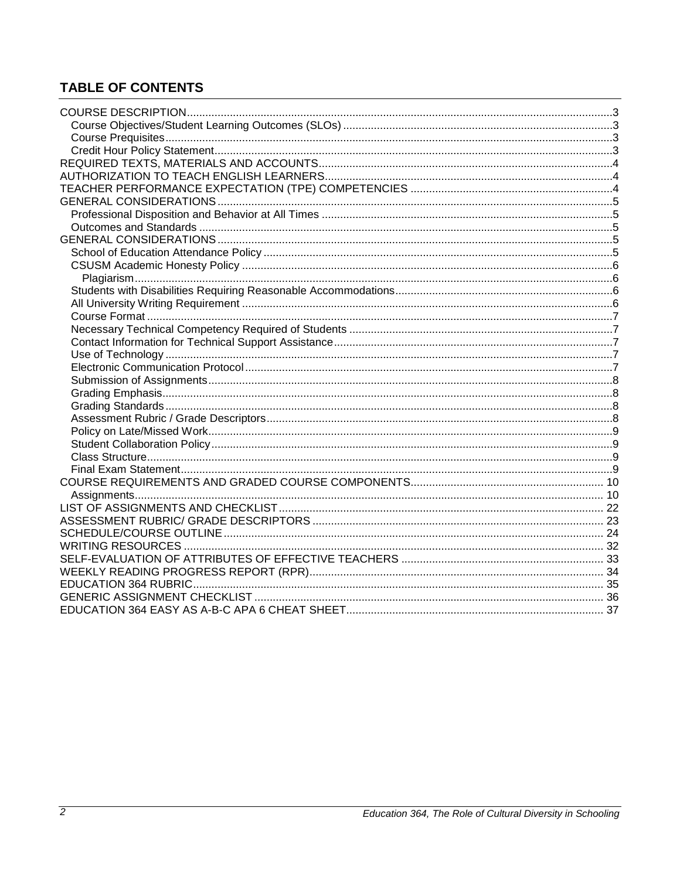## **TABLE OF CONTENTS**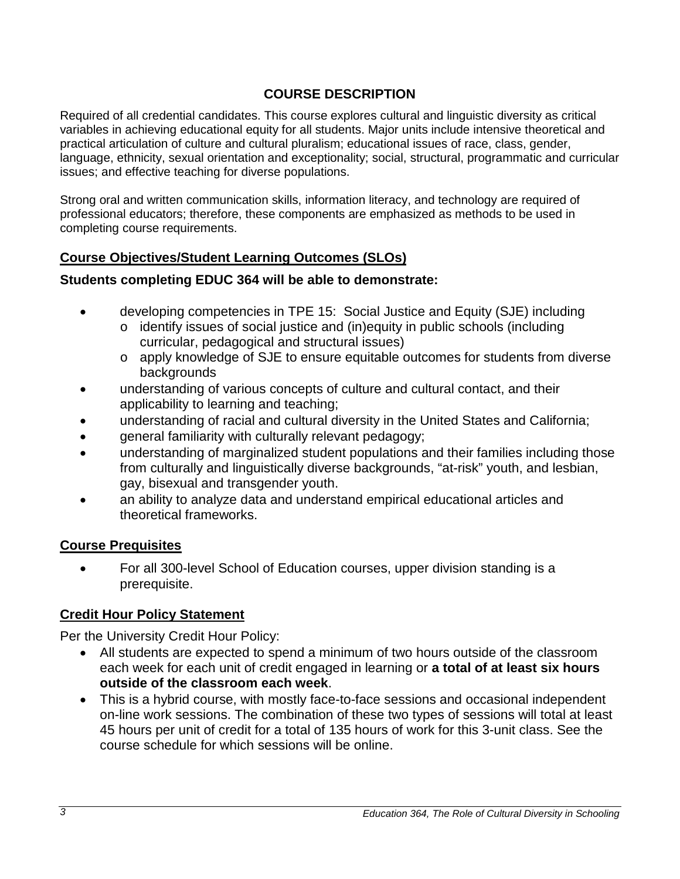## **COURSE DESCRIPTION**

<span id="page-2-0"></span>Required of all credential candidates. This course explores cultural and linguistic diversity as critical variables in achieving educational equity for all students. Major units include intensive theoretical and practical articulation of culture and cultural pluralism; educational issues of race, class, gender, language, ethnicity, sexual orientation and exceptionality; social, structural, programmatic and curricular issues; and effective teaching for diverse populations.

Strong oral and written communication skills, information literacy, and technology are required of professional educators; therefore, these components are emphasized as methods to be used in completing course requirements.

## <span id="page-2-1"></span>**Course Objectives/Student Learning Outcomes (SLOs)**

## **Students completing EDUC 364 will be able to demonstrate:**

- developing competencies in TPE 15: Social Justice and Equity (SJE) including
	- o identify issues of social justice and (in)equity in public schools (including curricular, pedagogical and structural issues)
	- o apply knowledge of SJE to ensure equitable outcomes for students from diverse backgrounds
- understanding of various concepts of culture and cultural contact, and their applicability to learning and teaching;
- understanding of racial and cultural diversity in the United States and California;
- general familiarity with culturally relevant pedagogy;
- understanding of marginalized student populations and their families including those from culturally and linguistically diverse backgrounds, "at-risk" youth, and lesbian, gay, bisexual and transgender youth.
- an ability to analyze data and understand empirical educational articles and theoretical frameworks.

## <span id="page-2-2"></span>**Course Prequisites**

• For all 300-level School of Education courses, upper division standing is a prerequisite.

## <span id="page-2-3"></span>**Credit Hour Policy Statement**

Per the University Credit Hour Policy:

- All students are expected to spend a minimum of two hours outside of the classroom each week for each unit of credit engaged in learning or **a total of at least six hours outside of the classroom each week**.
- This is a hybrid course, with mostly face-to-face sessions and occasional independent on-line work sessions. The combination of these two types of sessions will total at least 45 hours per unit of credit for a total of 135 hours of work for this 3-unit class. See the course schedule for which sessions will be online.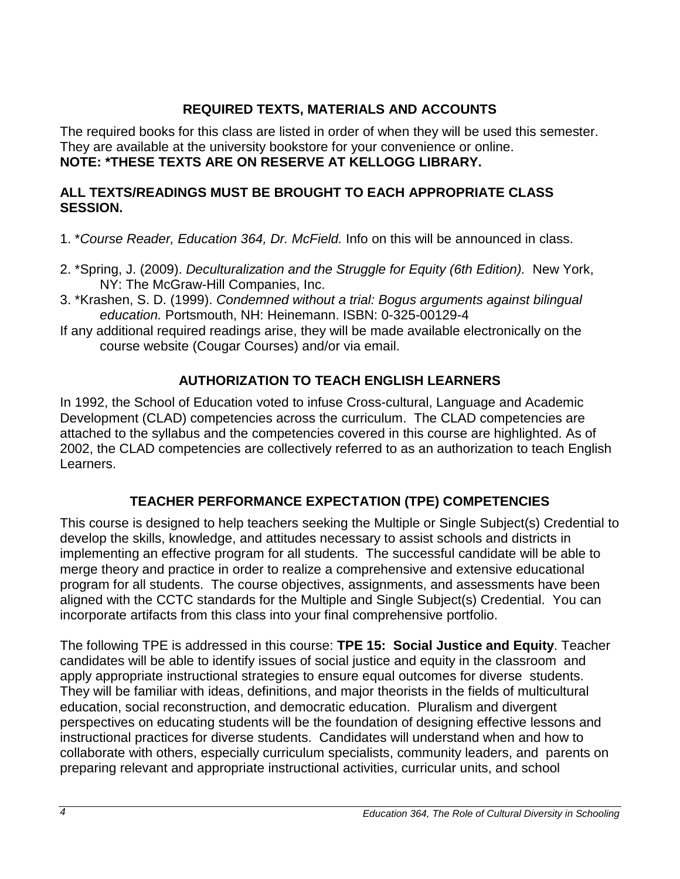## **REQUIRED TEXTS, MATERIALS AND ACCOUNTS**

<span id="page-3-0"></span>The required books for this class are listed in order of when they will be used this semester. They are available at the university bookstore for your convenience or online. **NOTE: \*THESE TEXTS ARE ON RESERVE AT KELLOGG LIBRARY.**

## **ALL TEXTS/READINGS MUST BE BROUGHT TO EACH APPROPRIATE CLASS SESSION.**

- 1. \**Course Reader, Education 364, Dr. McField.* Info on this will be announced in class.
- 2. \*Spring, J. (2009). *Deculturalization and the Struggle for Equity (6th Edition).* New York, NY: The McGraw-Hill Companies, Inc.
- 3. \*Krashen, S. D. (1999). *Condemned without a trial: Bogus arguments against bilingual education.* Portsmouth, NH: Heinemann. ISBN: 0-325-00129-4
- If any additional required readings arise, they will be made available electronically on the course website (Cougar Courses) and/or via email.

## **AUTHORIZATION TO TEACH ENGLISH LEARNERS**

<span id="page-3-1"></span>In 1992, the School of Education voted to infuse Cross-cultural, Language and Academic Development (CLAD) competencies across the curriculum. The CLAD competencies are attached to the syllabus and the competencies covered in this course are highlighted. As of 2002, the CLAD competencies are collectively referred to as an authorization to teach English Learners.

## **TEACHER PERFORMANCE EXPECTATION (TPE) COMPETENCIES**

<span id="page-3-2"></span>This course is designed to help teachers seeking the Multiple or Single Subject(s) Credential to develop the skills, knowledge, and attitudes necessary to assist schools and districts in implementing an effective program for all students. The successful candidate will be able to merge theory and practice in order to realize a comprehensive and extensive educational program for all students. The course objectives, assignments, and assessments have been aligned with the CCTC standards for the Multiple and Single Subject(s) Credential. You can incorporate artifacts from this class into your final comprehensive portfolio.

The following TPE is addressed in this course: **TPE 15: Social Justice and Equity**. Teacher candidates will be able to identify issues of social justice and equity in the classroom and apply appropriate instructional strategies to ensure equal outcomes for diverse students. They will be familiar with ideas, definitions, and major theorists in the fields of multicultural education, social reconstruction, and democratic education. Pluralism and divergent perspectives on educating students will be the foundation of designing effective lessons and instructional practices for diverse students. Candidates will understand when and how to collaborate with others, especially curriculum specialists, community leaders, and parents on preparing relevant and appropriate instructional activities, curricular units, and school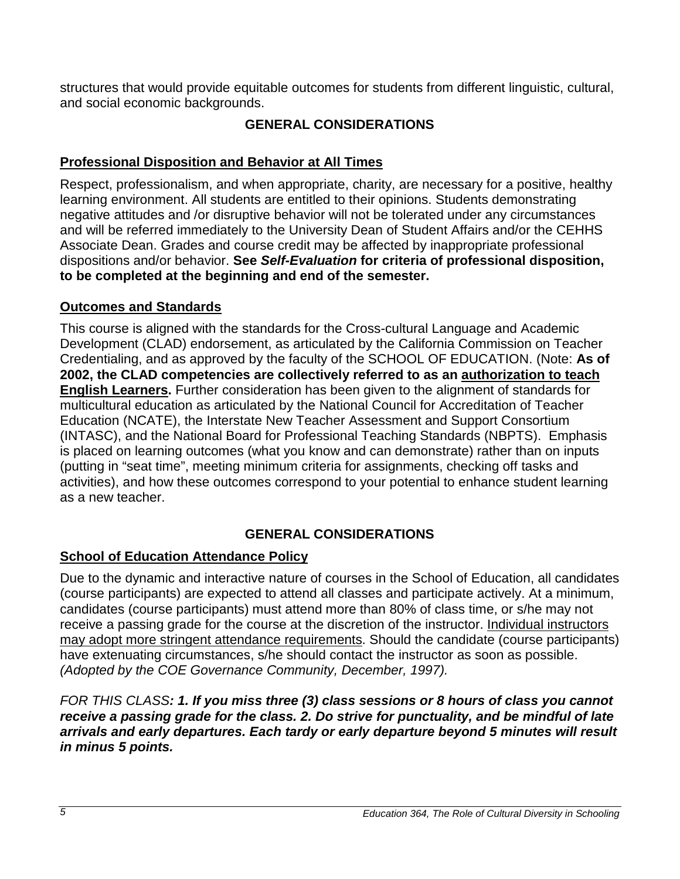<span id="page-4-0"></span>structures that would provide equitable outcomes for students from different linguistic, cultural, and social economic backgrounds.

## **GENERAL CONSIDERATIONS**

## <span id="page-4-1"></span>**Professional Disposition and Behavior at All Times**

Respect, professionalism, and when appropriate, charity, are necessary for a positive, healthy learning environment. All students are entitled to their opinions. Students demonstrating negative attitudes and /or disruptive behavior will not be tolerated under any circumstances and will be referred immediately to the University Dean of Student Affairs and/or the CEHHS Associate Dean. Grades and course credit may be affected by inappropriate professional dispositions and/or behavior. **See** *Self-Evaluation* **for criteria of professional disposition, to be completed at the beginning and end of the semester.**

## <span id="page-4-2"></span>**Outcomes and Standards**

This course is aligned with the standards for the Cross-cultural Language and Academic Development (CLAD) endorsement, as articulated by the California Commission on Teacher Credentialing, and as approved by the faculty of the SCHOOL OF EDUCATION. (Note: **As of 2002, the CLAD competencies are collectively referred to as an authorization to teach English Learners.** Further consideration has been given to the alignment of standards for multicultural education as articulated by the National Council for Accreditation of Teacher Education (NCATE), the Interstate New Teacher Assessment and Support Consortium (INTASC), and the National Board for Professional Teaching Standards (NBPTS). Emphasis is placed on learning outcomes (what you know and can demonstrate) rather than on inputs (putting in "seat time", meeting minimum criteria for assignments, checking off tasks and activities), and how these outcomes correspond to your potential to enhance student learning as a new teacher.

## **GENERAL CONSIDERATIONS**

## <span id="page-4-4"></span><span id="page-4-3"></span>**School of Education Attendance Policy**

Due to the dynamic and interactive nature of courses in the School of Education, all candidates (course participants) are expected to attend all classes and participate actively. At a minimum, candidates (course participants) must attend more than 80% of class time, or s/he may not receive a passing grade for the course at the discretion of the instructor. Individual instructors may adopt more stringent attendance requirements. Should the candidate (course participants) have extenuating circumstances, s/he should contact the instructor as soon as possible. *(Adopted by the COE Governance Community, December, 1997).* 

## *FOR THIS CLASS: 1. If you miss three (3) class sessions or 8 hours of class you cannot receive a passing grade for the class. 2. Do strive for punctuality, and be mindful of late arrivals and early departures. Each tardy or early departure beyond 5 minutes will result in minus 5 points.*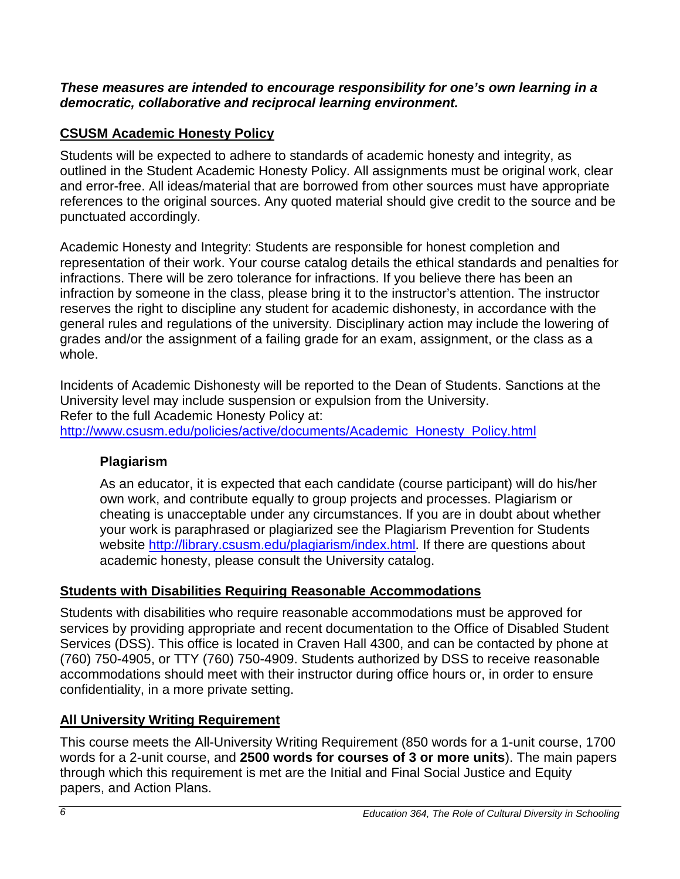### *These measures are intended to encourage responsibility for one's own learning in a democratic, collaborative and reciprocal learning environment.*

## <span id="page-5-0"></span>**CSUSM Academic Honesty Policy**

Students will be expected to adhere to standards of academic honesty and integrity, as outlined in the Student Academic Honesty Policy. All assignments must be original work, clear and error-free. All ideas/material that are borrowed from other sources must have appropriate references to the original sources. Any quoted material should give credit to the source and be punctuated accordingly.

Academic Honesty and Integrity: Students are responsible for honest completion and representation of their work. Your course catalog details the ethical standards and penalties for infractions. There will be zero tolerance for infractions. If you believe there has been an infraction by someone in the class, please bring it to the instructor's attention. The instructor reserves the right to discipline any student for academic dishonesty, in accordance with the general rules and regulations of the university. Disciplinary action may include the lowering of grades and/or the assignment of a failing grade for an exam, assignment, or the class as a whole.

Incidents of Academic Dishonesty will be reported to the Dean of Students. Sanctions at the University level may include suspension or expulsion from the University. Refer to the full Academic Honesty Policy at: [http://www.csusm.edu/policies/active/documents/Academic\\_Honesty\\_Policy.html](http://www.csusm.edu/policies/active/documents/Academic_Honesty_Policy.html)

## <span id="page-5-1"></span>**Plagiarism**

As an educator, it is expected that each candidate (course participant) will do his/her own work, and contribute equally to group projects and processes. Plagiarism or cheating is unacceptable under any circumstances. If you are in doubt about whether your work is paraphrased or plagiarized see the Plagiarism Prevention for Students website [http://library.csusm.edu/plagiarism/index.html.](http://library.csusm.edu/plagiarism/index.html) If there are questions about academic honesty, please consult the University catalog.

## <span id="page-5-2"></span>**Students with Disabilities Requiring Reasonable Accommodations**

Students with disabilities who require reasonable accommodations must be approved for services by providing appropriate and recent documentation to the Office of Disabled Student Services (DSS). This office is located in Craven Hall 4300, and can be contacted by phone at (760) 750-4905, or TTY (760) 750-4909. Students authorized by DSS to receive reasonable accommodations should meet with their instructor during office hours or, in order to ensure confidentiality, in a more private setting.

## <span id="page-5-3"></span>**All University Writing Requirement**

This course meets the All-University Writing Requirement (850 words for a 1-unit course, 1700 words for a 2-unit course, and **2500 words for courses of 3 or more units**). The main papers through which this requirement is met are the Initial and Final Social Justice and Equity papers, and Action Plans.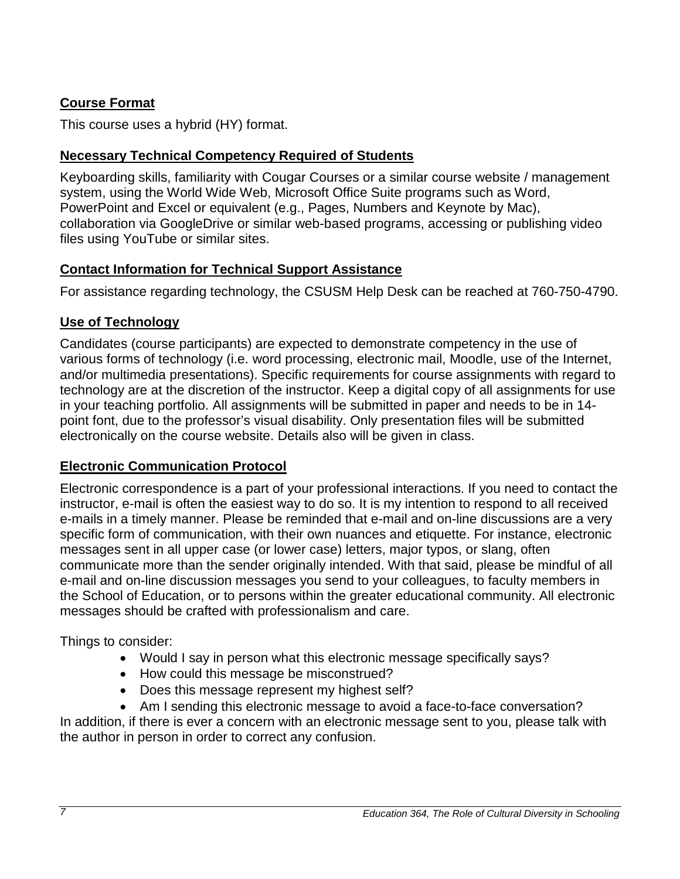## <span id="page-6-0"></span>**Course Format**

This course uses a hybrid (HY) format.

## <span id="page-6-1"></span>**Necessary Technical Competency Required of Students**

Keyboarding skills, familiarity with Cougar Courses or a similar course website / management system, using the World Wide Web, Microsoft Office Suite programs such as Word, PowerPoint and Excel or equivalent (e.g., Pages, Numbers and Keynote by Mac), collaboration via GoogleDrive or similar web-based programs, accessing or publishing video files using YouTube or similar sites.

## <span id="page-6-2"></span>**Contact Information for Technical Support Assistance**

For assistance regarding technology, the CSUSM Help Desk can be reached at 760-750-4790.

## <span id="page-6-3"></span>**Use of Technology**

Candidates (course participants) are expected to demonstrate competency in the use of various forms of technology (i.e. word processing, electronic mail, Moodle, use of the Internet, and/or multimedia presentations). Specific requirements for course assignments with regard to technology are at the discretion of the instructor. Keep a digital copy of all assignments for use in your teaching portfolio. All assignments will be submitted in paper and needs to be in 14 point font, due to the professor's visual disability. Only presentation files will be submitted electronically on the course website. Details also will be given in class.

## <span id="page-6-4"></span>**Electronic Communication Protocol**

Electronic correspondence is a part of your professional interactions. If you need to contact the instructor, e-mail is often the easiest way to do so. It is my intention to respond to all received e-mails in a timely manner. Please be reminded that e-mail and on-line discussions are a very specific form of communication, with their own nuances and etiquette. For instance, electronic messages sent in all upper case (or lower case) letters, major typos, or slang, often communicate more than the sender originally intended. With that said, please be mindful of all e-mail and on-line discussion messages you send to your colleagues, to faculty members in the School of Education, or to persons within the greater educational community. All electronic messages should be crafted with professionalism and care.

Things to consider:

- Would I say in person what this electronic message specifically says?
- How could this message be misconstrued?
- Does this message represent my highest self?
- Am I sending this electronic message to avoid a face-to-face conversation?

In addition, if there is ever a concern with an electronic message sent to you, please talk with the author in person in order to correct any confusion.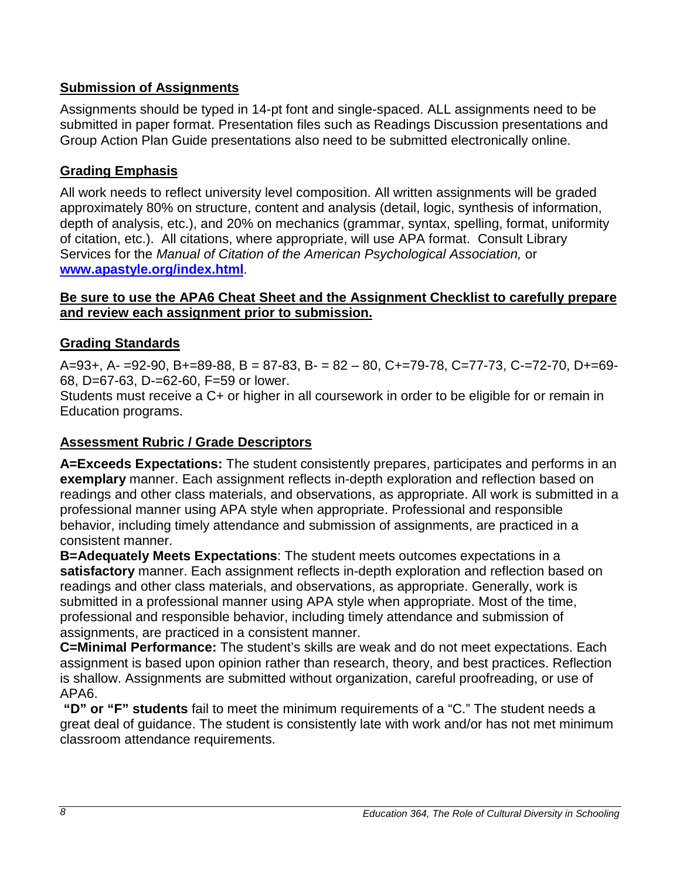## <span id="page-7-0"></span>**Submission of Assignments**

Assignments should be typed in 14-pt font and single-spaced. ALL assignments need to be submitted in paper format. Presentation files such as Readings Discussion presentations and Group Action Plan Guide presentations also need to be submitted electronically online.

## <span id="page-7-1"></span>**Grading Emphasis**

All work needs to reflect university level composition. All written assignments will be graded approximately 80% on structure, content and analysis (detail, logic, synthesis of information, depth of analysis, etc.), and 20% on mechanics (grammar, syntax, spelling, format, uniformity of citation, etc.). All citations, where appropriate, will use APA format. Consult Library Services for the *Manual of Citation of the American Psychological Association,* or **[www.apastyle.org/index.html](http://www.apastyle.org/index.html)**.

### **Be sure to use the APA6 Cheat Sheet and the Assignment Checklist to carefully prepare and review each assignment prior to submission.**

## <span id="page-7-2"></span>**Grading Standards**

 $A=93+, A=92-90, B+=89-88, B=87-83, B=82-80, C=-79-78, C=-77-73, C=-72-70, D=-69-75$ 68, D=67-63, D-=62-60, F=59 or lower.

Students must receive a C+ or higher in all coursework in order to be eligible for or remain in Education programs.

## <span id="page-7-3"></span>**Assessment Rubric / Grade Descriptors**

**A=Exceeds Expectations:** The student consistently prepares, participates and performs in an **exemplary** manner. Each assignment reflects in-depth exploration and reflection based on readings and other class materials, and observations, as appropriate. All work is submitted in a professional manner using APA style when appropriate. Professional and responsible behavior, including timely attendance and submission of assignments, are practiced in a consistent manner.

**B=Adequately Meets Expectations**: The student meets outcomes expectations in a **satisfactory** manner. Each assignment reflects in-depth exploration and reflection based on readings and other class materials, and observations, as appropriate. Generally, work is submitted in a professional manner using APA style when appropriate. Most of the time, professional and responsible behavior, including timely attendance and submission of assignments, are practiced in a consistent manner.

**C=Minimal Performance:** The student's skills are weak and do not meet expectations. Each assignment is based upon opinion rather than research, theory, and best practices. Reflection is shallow. Assignments are submitted without organization, careful proofreading, or use of APA6.

**"D" or "F" students** fail to meet the minimum requirements of a "C." The student needs a great deal of guidance. The student is consistently late with work and/or has not met minimum classroom attendance requirements.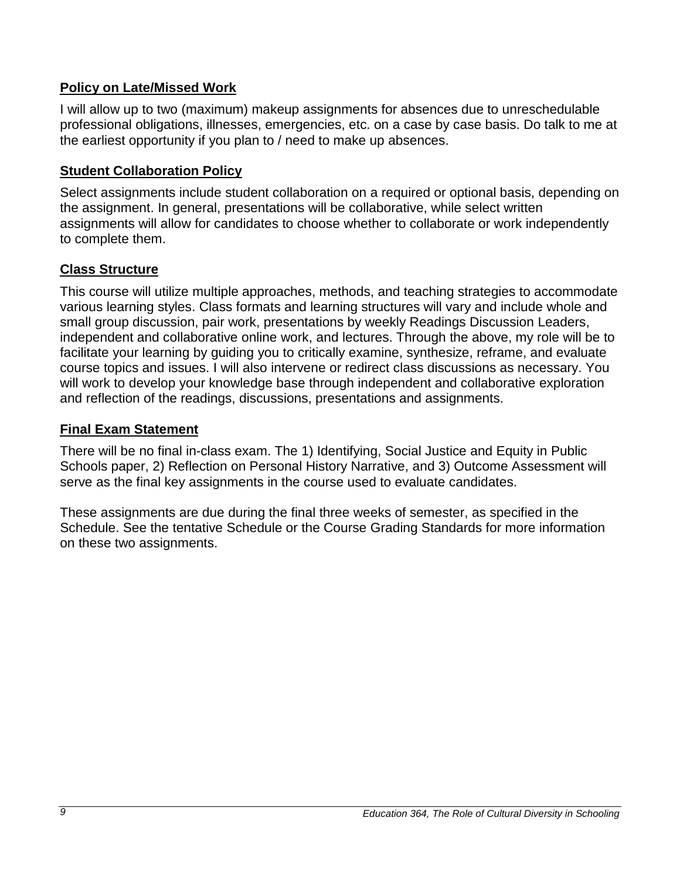## <span id="page-8-0"></span>**Policy on Late/Missed Work**

I will allow up to two (maximum) makeup assignments for absences due to unreschedulable professional obligations, illnesses, emergencies, etc. on a case by case basis. Do talk to me at the earliest opportunity if you plan to / need to make up absences.

## <span id="page-8-1"></span>**Student Collaboration Policy**

Select assignments include student collaboration on a required or optional basis, depending on the assignment. In general, presentations will be collaborative, while select written assignments will allow for candidates to choose whether to collaborate or work independently to complete them.

## <span id="page-8-2"></span>**Class Structure**

This course will utilize multiple approaches, methods, and teaching strategies to accommodate various learning styles. Class formats and learning structures will vary and include whole and small group discussion, pair work, presentations by weekly Readings Discussion Leaders, independent and collaborative online work, and lectures. Through the above, my role will be to facilitate your learning by guiding you to critically examine, synthesize, reframe, and evaluate course topics and issues. I will also intervene or redirect class discussions as necessary. You will work to develop your knowledge base through independent and collaborative exploration and reflection of the readings, discussions, presentations and assignments.

### <span id="page-8-3"></span>**Final Exam Statement**

There will be no final in-class exam. The 1) Identifying, Social Justice and Equity in Public Schools paper, 2) Reflection on Personal History Narrative, and 3) Outcome Assessment will serve as the final key assignments in the course used to evaluate candidates.

These assignments are due during the final three weeks of semester, as specified in the Schedule. See the tentative Schedule or the Course Grading Standards for more information on these two assignments.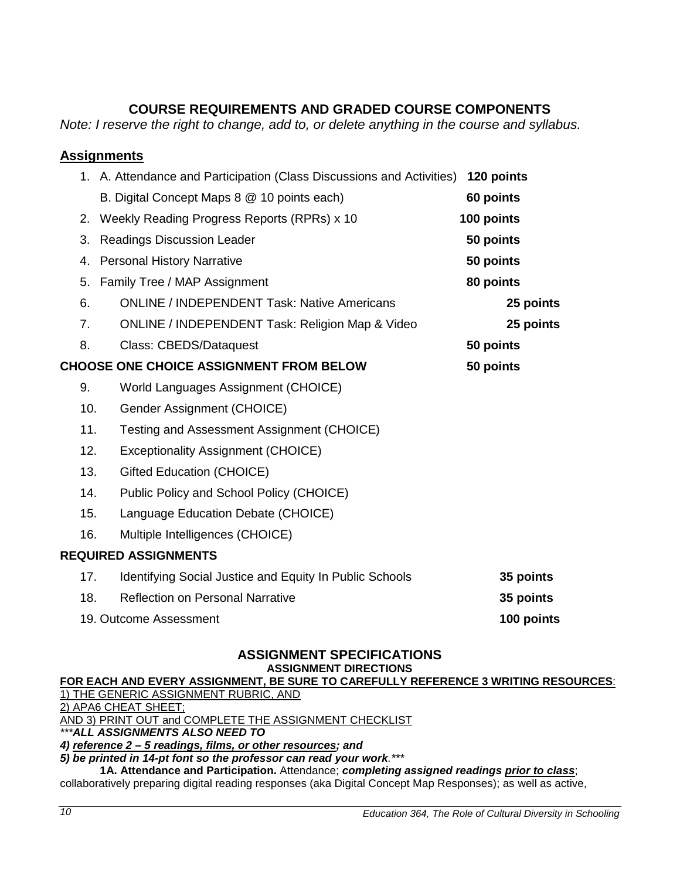## **COURSE REQUIREMENTS AND GRADED COURSE COMPONENTS**

<span id="page-9-0"></span>*Note: I reserve the right to change, add to, or delete anything in the course and syllabus.*

### <span id="page-9-1"></span>**Assignments**

|     | 1. A. Attendance and Participation (Class Discussions and Activities) | 120 points |
|-----|-----------------------------------------------------------------------|------------|
|     | B. Digital Concept Maps 8 @ 10 points each)                           | 60 points  |
| 2.  | Weekly Reading Progress Reports (RPRs) x 10                           | 100 points |
| 3.  | <b>Readings Discussion Leader</b>                                     | 50 points  |
| 4.  | <b>Personal History Narrative</b>                                     | 50 points  |
| 5.  | Family Tree / MAP Assignment                                          | 80 points  |
| 6.  | <b>ONLINE / INDEPENDENT Task: Native Americans</b>                    | 25 points  |
| 7.  | <b>ONLINE / INDEPENDENT Task: Religion Map &amp; Video</b>            | 25 points  |
| 8.  | <b>Class: CBEDS/Dataquest</b>                                         | 50 points  |
|     | <b>CHOOSE ONE CHOICE ASSIGNMENT FROM BELOW</b>                        | 50 points  |
| 9.  | World Languages Assignment (CHOICE)                                   |            |
| 10. | Gender Assignment (CHOICE)                                            |            |
| 11. | Testing and Assessment Assignment (CHOICE)                            |            |
| 12. | <b>Exceptionality Assignment (CHOICE)</b>                             |            |
| 13. | Gifted Education (CHOICE)                                             |            |
| 14. | Public Policy and School Policy (CHOICE)                              |            |
| 15. | Language Education Debate (CHOICE)                                    |            |
| 16. | Multiple Intelligences (CHOICE)                                       |            |
|     | <b>REQUIRED ASSIGNMENTS</b>                                           |            |
| 17. | Identifying Social Justice and Equity In Public Schools               | 35 points  |
| 18. | <b>Reflection on Personal Narrative</b>                               | 35 points  |
|     | 19. Outcome Assessment                                                | 100 points |

## **ASSIGNMENT SPECIFICATIONS**

**ASSIGNMENT DIRECTIONS**

**FOR EACH AND EVERY ASSIGNMENT, BE SURE TO CAREFULLY REFERENCE 3 WRITING RESOURCES**:

1) THE GENERIC ASSIGNMENT RUBRIC, AND

2) APA6 CHEAT SHEET;

AND 3) PRINT OUT and COMPLETE THE ASSIGNMENT CHECKLIST

*\*\*\*ALL ASSIGNMENTS ALSO NEED TO* 

*4) reference 2 – 5 readings, films, or other resources; and* 

*5) be printed in 14-pt font so the professor can read your work.\*\*\**

**1A. Attendance and Participation.** Attendance; *completing assigned readings prior to class*;

collaboratively preparing digital reading responses (aka Digital Concept Map Responses); as well as active,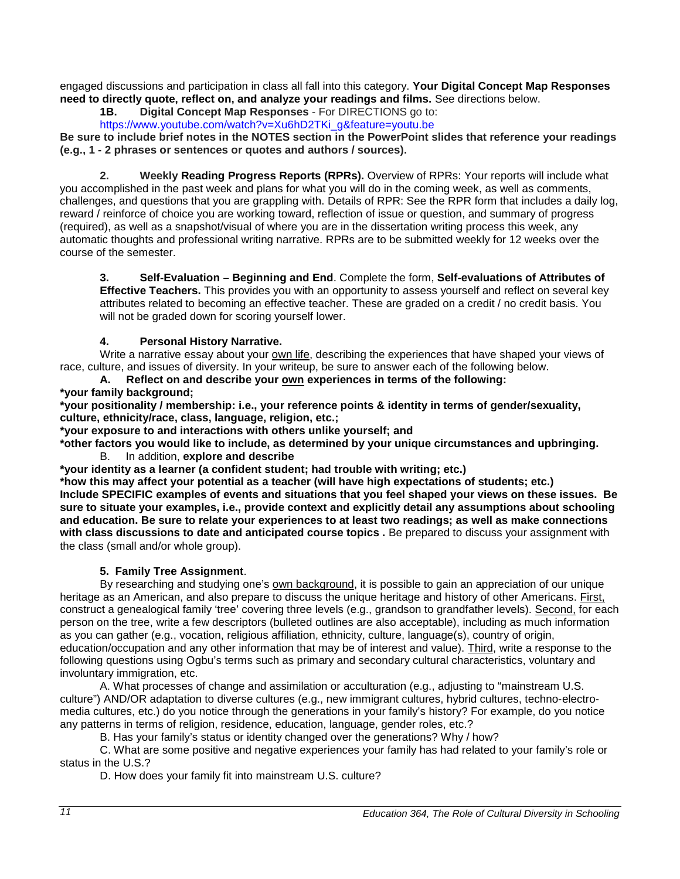engaged discussions and participation in class all fall into this category. **Your Digital Concept Map Responses need to directly quote, reflect on, and analyze your readings and films.** See directions below.

**1B. Digital Concept Map Responses** - For DIRECTIONS go to:

[https://www.youtube.com/watch?v=Xu6hD2TKi\\_g&feature=youtu.be](https://www.youtube.com/watch?v=Xu6hD2TKi_g&feature=youtu.be)

**Be sure to include brief notes in the NOTES section in the PowerPoint slides that reference your readings (e.g., 1 - 2 phrases or sentences or quotes and authors / sources).**

**2. Weekly Reading Progress Reports (RPRs).** Overview of RPRs: Your reports will include what you accomplished in the past week and plans for what you will do in the coming week, as well as comments, challenges, and questions that you are grappling with. Details of RPR: See the RPR form that includes a daily log, reward / reinforce of choice you are working toward, reflection of issue or question, and summary of progress (required), as well as a snapshot/visual of where you are in the dissertation writing process this week, any automatic thoughts and professional writing narrative. RPRs are to be submitted weekly for 12 weeks over the course of the semester.

**3. Self-Evaluation – Beginning and End**. Complete the form, **Self-evaluations of Attributes of Effective Teachers.** This provides you with an opportunity to assess yourself and reflect on several key attributes related to becoming an effective teacher. These are graded on a credit / no credit basis. You will not be graded down for scoring yourself lower.

#### **4. Personal History Narrative.**

Write a narrative essay about your own life, describing the experiences that have shaped your views of race, culture, and issues of diversity. In your writeup, be sure to answer each of the following below.

### **A. Reflect on and describe your own experiences in terms of the following:**

**\*your family background;**

**\*your positionality / membership: i.e., your reference points & identity in terms of gender/sexuality, culture, ethnicity/race, class, language, religion, etc.;**

**\*your exposure to and interactions with others unlike yourself; and** 

**\*other factors you would like to include, as determined by your unique circumstances and upbringing.** 

B. In addition, **explore and describe** 

**\*your identity as a learner (a confident student; had trouble with writing; etc.)** 

**\*how this may affect your potential as a teacher (will have high expectations of students; etc.) Include SPECIFIC examples of events and situations that you feel shaped your views on these issues. Be sure to situate your examples, i.e., provide context and explicitly detail any assumptions about schooling and education. Be sure to relate your experiences to at least two readings; as well as make connections with class discussions to date and anticipated course topics .** Be prepared to discuss your assignment with the class (small and/or whole group).

#### **5. Family Tree Assignment**.

By researching and studying one's own background, it is possible to gain an appreciation of our unique heritage as an American, and also prepare to discuss the unique heritage and history of other Americans. First, construct a genealogical family 'tree' covering three levels (e.g., grandson to grandfather levels). Second, for each person on the tree, write a few descriptors (bulleted outlines are also acceptable), including as much information as you can gather (e.g., vocation, religious affiliation, ethnicity, culture, language(s), country of origin, education/occupation and any other information that may be of interest and value). Third, write a response to the following questions using Ogbu's terms such as primary and secondary cultural characteristics, voluntary and involuntary immigration, etc.

A. What processes of change and assimilation or acculturation (e.g., adjusting to "mainstream U.S. culture") AND/OR adaptation to diverse cultures (e.g., new immigrant cultures, hybrid cultures, techno-electromedia cultures, etc.) do you notice through the generations in your family's history? For example, do you notice any patterns in terms of religion, residence, education, language, gender roles, etc.?

B. Has your family's status or identity changed over the generations? Why / how?

C. What are some positive and negative experiences your family has had related to your family's role or status in the U.S.?

D. How does your family fit into mainstream U.S. culture?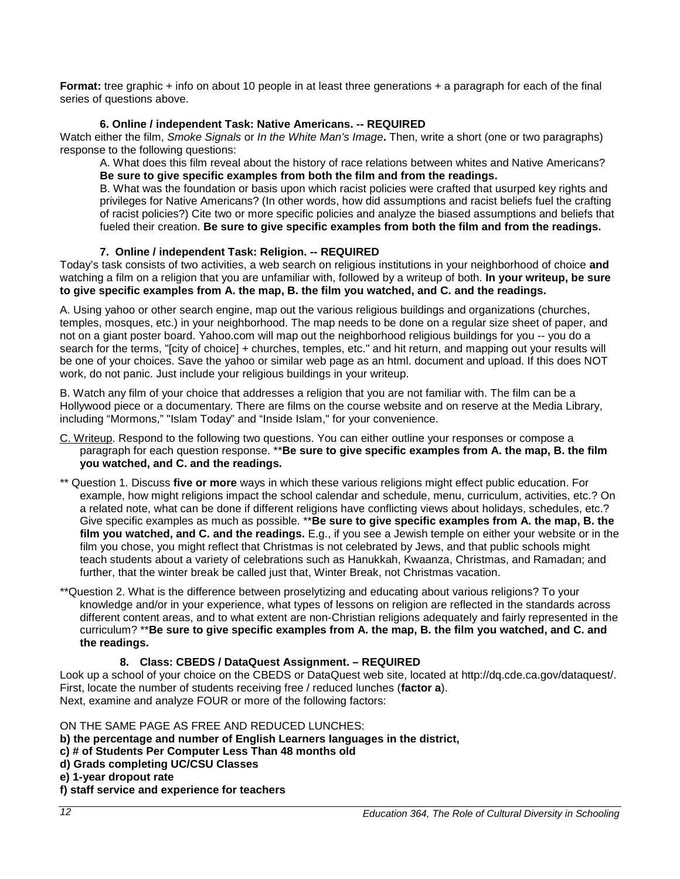**Format:** tree graphic + info on about 10 people in at least three generations + a paragraph for each of the final series of questions above.

#### **6. Online / independent Task: Native Americans. -- REQUIRED**

Watch either the film, *Smoke Signals* or *In the White Man's Image***.** Then, write a short (one or two paragraphs) response to the following questions:

A. What does this film reveal about the history of race relations between whites and Native Americans? **Be sure to give specific examples from both the film and from the readings.** 

B. What was the foundation or basis upon which racist policies were crafted that usurped key rights and privileges for Native Americans? (In other words, how did assumptions and racist beliefs fuel the crafting of racist policies?) Cite two or more specific policies and analyze the biased assumptions and beliefs that fueled their creation. **Be sure to give specific examples from both the film and from the readings.**

#### **7. Online / independent Task: Religion. -- REQUIRED**

Today's task consists of two activities, a web search on religious institutions in your neighborhood of choice **and** watching a film on a religion that you are unfamiliar with, followed by a writeup of both. **In your writeup, be sure to give specific examples from A. the map, B. the film you watched, and C. and the readings.**

A. Using yahoo or other search engine, map out the various religious buildings and organizations (churches, temples, mosques, etc.) in your neighborhood. The map needs to be done on a regular size sheet of paper, and not on a giant poster board. Yahoo.com will map out the neighborhood religious buildings for you -- you do a search for the terms, "[city of choice] + churches, temples, etc." and hit return, and mapping out your results will be one of your choices. Save the yahoo or similar web page as an html. document and upload. If this does NOT work, do not panic. Just include your religious buildings in your writeup.

B. Watch any film of your choice that addresses a religion that you are not familiar with. The film can be a Hollywood piece or a documentary. There are films on the course website and on reserve at the Media Library, including "Mormons," "Islam Today" and "Inside Islam," for your convenience.

- C. Writeup. Respond to the following two questions. You can either outline your responses or compose a paragraph for each question response. \*\***Be sure to give specific examples from A. the map, B. the film you watched, and C. and the readings.**
- \*\* Question 1. Discuss **five or more** ways in which these various religions might effect public education. For example, how might religions impact the school calendar and schedule, menu, curriculum, activities, etc.? On a related note, what can be done if different religions have conflicting views about holidays, schedules, etc.? Give specific examples as much as possible. \*\***Be sure to give specific examples from A. the map, B. the film you watched, and C. and the readings.** E.g., if you see a Jewish temple on either your website or in the film you chose, you might reflect that Christmas is not celebrated by Jews, and that public schools might teach students about a variety of celebrations such as Hanukkah, Kwaanza, Christmas, and Ramadan; and further, that the winter break be called just that, Winter Break, not Christmas vacation.
- \*\*Question 2. What is the difference between proselytizing and educating about various religions? To your knowledge and/or in your experience, what types of lessons on religion are reflected in the standards across different content areas, and to what extent are non-Christian religions adequately and fairly represented in the curriculum? \*\***Be sure to give specific examples from A. the map, B. the film you watched, and C. and the readings.**

#### **8. Class: CBEDS / DataQuest Assignment. – REQUIRED**

Look up a school of your choice on the CBEDS or DataQuest web site, located at http://dq.cde.ca.gov/dataquest/. First, locate the number of students receiving free / reduced lunches (**factor a**). Next, examine and analyze FOUR or more of the following factors:

#### ON THE SAME PAGE AS FREE AND REDUCED LUNCHES:

- **b) the percentage and number of English Learners languages in the district,**
- **c) # of Students Per Computer Less Than 48 months old**
- **d) Grads completing UC/CSU Classes**
- **e) 1-year dropout rate**

#### **f) staff service and experience for teachers**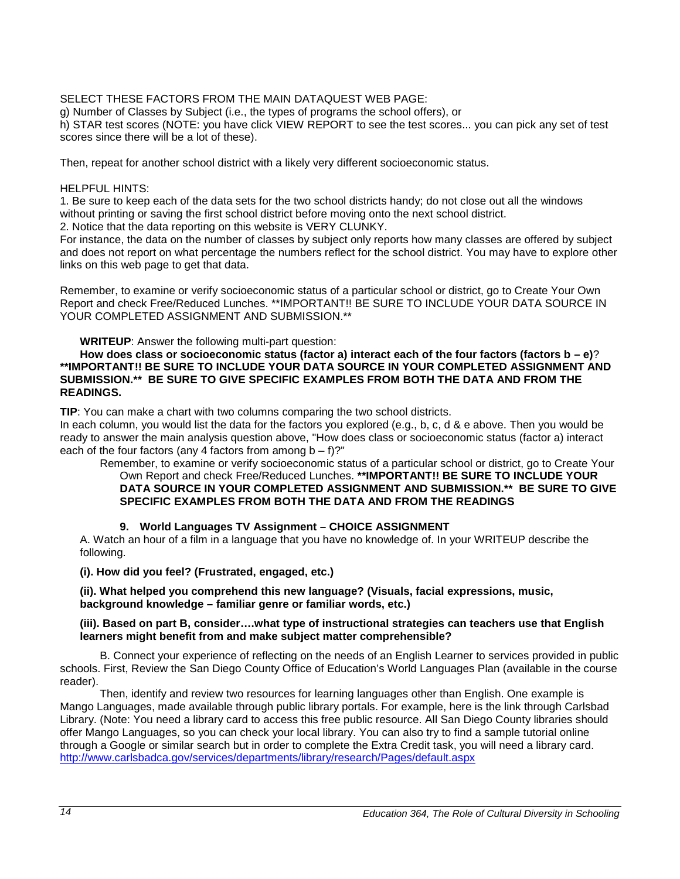#### SELECT THESE FACTORS FROM THE MAIN DATAQUEST WEB PAGE:

g) Number of Classes by Subject (i.e., the types of programs the school offers), or

h) STAR test scores (NOTE: you have click VIEW REPORT to see the test scores... you can pick any set of test scores since there will be a lot of these).

Then, repeat for another school district with a likely very different socioeconomic status.

#### HELPFUL HINTS:

1. Be sure to keep each of the data sets for the two school districts handy; do not close out all the windows without printing or saving the first school district before moving onto the next school district.

2. Notice that the data reporting on this website is VERY CLUNKY.

For instance, the data on the number of classes by subject only reports how many classes are offered by subject and does not report on what percentage the numbers reflect for the school district. You may have to explore other links on this web page to get that data.

Remember, to examine or verify socioeconomic status of a particular school or district, go to Create Your Own Report and check Free/Reduced Lunches. \*\*IMPORTANT!! BE SURE TO INCLUDE YOUR DATA SOURCE IN YOUR COMPLETED ASSIGNMENT AND SUBMISSION.\*\*

**WRITEUP**: Answer the following multi-part question:

**How does class or socioeconomic status (factor a) interact each of the four factors (factors b – e)**? **\*\*IMPORTANT!! BE SURE TO INCLUDE YOUR DATA SOURCE IN YOUR COMPLETED ASSIGNMENT AND SUBMISSION.\*\* BE SURE TO GIVE SPECIFIC EXAMPLES FROM BOTH THE DATA AND FROM THE READINGS.**

**TIP**: You can make a chart with two columns comparing the two school districts.

In each column, you would list the data for the factors you explored (e.g., b, c, d & e above. Then you would be ready to answer the main analysis question above, "How does class or socioeconomic status (factor a) interact each of the four factors (any 4 factors from among  $b - f$ )?"

Remember, to examine or verify socioeconomic status of a particular school or district, go to Create Your Own Report and check Free/Reduced Lunches. **\*\*IMPORTANT!! BE SURE TO INCLUDE YOUR DATA SOURCE IN YOUR COMPLETED ASSIGNMENT AND SUBMISSION.\*\* BE SURE TO GIVE SPECIFIC EXAMPLES FROM BOTH THE DATA AND FROM THE READINGS**

#### **9. World Languages TV Assignment – CHOICE ASSIGNMENT**

A. Watch an hour of a film in a language that you have no knowledge of. In your WRITEUP describe the following.

**(i). How did you feel? (Frustrated, engaged, etc.)** 

**(ii). What helped you comprehend this new language? (Visuals, facial expressions, music, background knowledge – familiar genre or familiar words, etc.)** 

#### **(iii). Based on part B, consider….what type of instructional strategies can teachers use that English learners might benefit from and make subject matter comprehensible?**

B. Connect your experience of reflecting on the needs of an English Learner to services provided in public schools. First, Review the San Diego County Office of Education's World Languages Plan (available in the course reader).

Then, identify and review two resources for learning languages other than English. One example is Mango Languages, made available through public library portals. For example, here is the link through Carlsbad Library. (Note: You need a library card to access this free public resource. All San Diego County libraries should offer Mango Languages, so you can check your local library. You can also try to find a sample tutorial online through a Google or similar search but in order to complete the Extra Credit task, you will need a library card. <http://www.carlsbadca.gov/services/departments/library/research/Pages/default.aspx>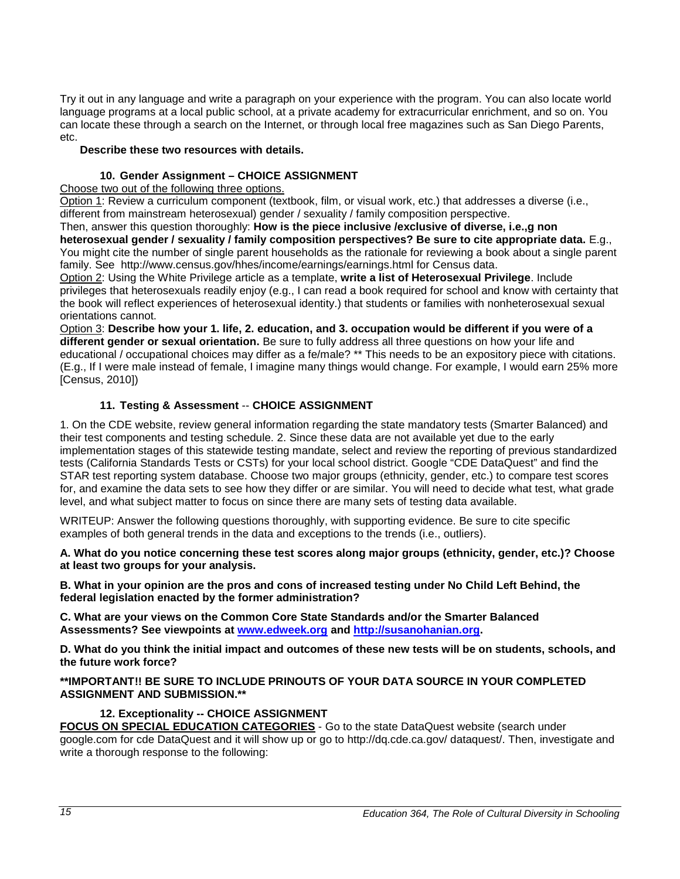Try it out in any language and write a paragraph on your experience with the program. You can also locate world language programs at a local public school, at a private academy for extracurricular enrichment, and so on. You can locate these through a search on the Internet, or through local free magazines such as San Diego Parents, etc.

#### **Describe these two resources with details.**

#### **10. Gender Assignment – CHOICE ASSIGNMENT**

Choose two out of the following three options.

Option 1: Review a curriculum component (textbook, film, or visual work, etc.) that addresses a diverse (i.e., different from mainstream heterosexual) gender / sexuality / family composition perspective.

Then, answer this question thoroughly: **How is the piece inclusive /exclusive of diverse, i.e.,g non heterosexual gender / sexuality / family composition perspectives? Be sure to cite appropriate data.** E.g., You might cite the number of single parent households as the rationale for reviewing a book about a single parent family. See http://www.census.gov/hhes/income/earnings/earnings.html for Census data.

Option 2: Using the White Privilege article as a template, **write a list of Heterosexual Privilege**. Include privileges that heterosexuals readily enjoy (e.g., I can read a book required for school and know with certainty that the book will reflect experiences of heterosexual identity.) that students or families with nonheterosexual sexual orientations cannot.

Option 3: **Describe how your 1. life, 2. education, and 3. occupation would be different if you were of a different gender or sexual orientation.** Be sure to fully address all three questions on how your life and educational / occupational choices may differ as a fe/male? \*\* This needs to be an expository piece with citations. (E.g., If I were male instead of female, I imagine many things would change. For example, I would earn 25% more [Census, 2010])

#### **11. Testing & Assessment** -- **CHOICE ASSIGNMENT**

1. On the CDE website, review general information regarding the state mandatory tests (Smarter Balanced) and their test components and testing schedule. 2. Since these data are not available yet due to the early implementation stages of this statewide testing mandate, select and review the reporting of previous standardized tests (California Standards Tests or CSTs) for your local school district. Google "CDE DataQuest" and find the STAR test reporting system database. Choose two major groups (ethnicity, gender, etc.) to compare test scores for, and examine the data sets to see how they differ or are similar. You will need to decide what test, what grade level, and what subject matter to focus on since there are many sets of testing data available.

WRITEUP: Answer the following questions thoroughly, with supporting evidence. Be sure to cite specific examples of both general trends in the data and exceptions to the trends (i.e., outliers).

**A. What do you notice concerning these test scores along major groups (ethnicity, gender, etc.)? Choose at least two groups for your analysis.** 

**B. What in your opinion are the pros and cons of increased testing under No Child Left Behind, the federal legislation enacted by the former administration?** 

**C. What are your views on the Common Core State Standards and/or the Smarter Balanced Assessments? See viewpoints at [www.edweek.org](http://www.edweek.org/) and [http://susanohanian.org.](http://susanohanian.org/)** 

**D. What do you think the initial impact and outcomes of these new tests will be on students, schools, and the future work force?**

**\*\*IMPORTANT!! BE SURE TO INCLUDE PRINOUTS OF YOUR DATA SOURCE IN YOUR COMPLETED ASSIGNMENT AND SUBMISSION.\*\*** 

### **12. Exceptionality -- CHOICE ASSIGNMENT**

**FOCUS ON SPECIAL EDUCATION CATEGORIES** - Go to the state DataQuest website (search under google.com for cde DataQuest and it will show up or go to http://dq.cde.ca.gov/ dataquest/. Then, investigate and write a thorough response to the following: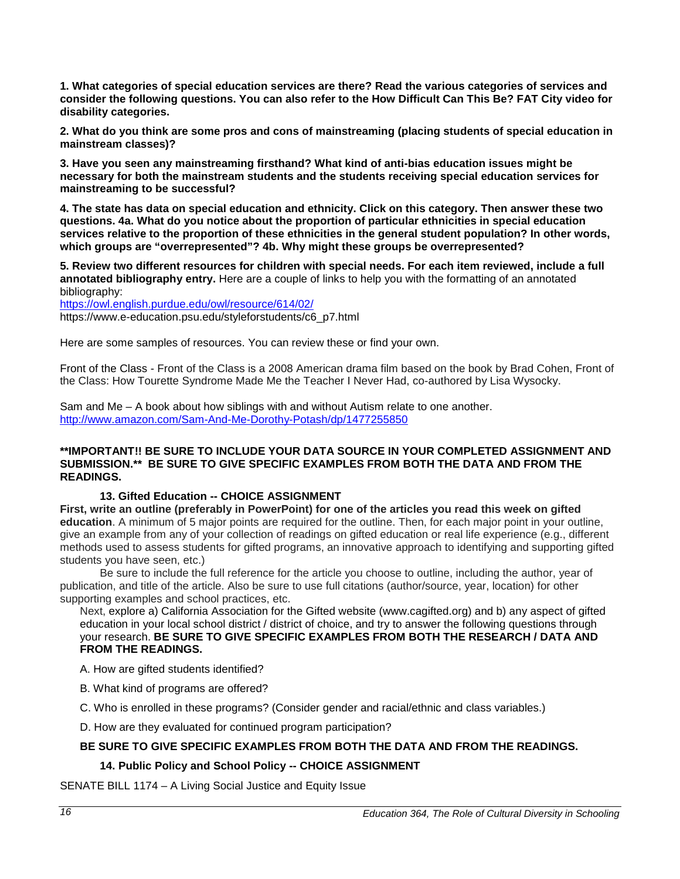**1. What categories of special education services are there? Read the various categories of services and consider the following questions. You can also refer to the How Difficult Can This Be? FAT City video for disability categories.** 

**2. What do you think are some pros and cons of mainstreaming (placing students of special education in mainstream classes)?** 

**3. Have you seen any mainstreaming firsthand? What kind of anti-bias education issues might be necessary for both the mainstream students and the students receiving special education services for mainstreaming to be successful?** 

**4. The state has data on special education and ethnicity. Click on this category. Then answer these two questions. 4a. What do you notice about the proportion of particular ethnicities in special education services relative to the proportion of these ethnicities in the general student population? In other words, which groups are "overrepresented"? 4b. Why might these groups be overrepresented?** 

**5. Review two different resources for children with special needs. For each item reviewed, include a full annotated bibliography entry.** Here are a couple of links to help you with the formatting of an annotated bibliography:

<https://owl.english.purdue.edu/owl/resource/614/02/> https://www.e-education.psu.edu/styleforstudents/c6\_p7.html

Here are some samples of resources. You can review these or find your own.

Front of the Class - Front of the Class is a 2008 American drama film based on the book by Brad Cohen, Front of the Class: How Tourette Syndrome Made Me the Teacher I Never Had, co-authored by Lisa Wysocky.

Sam and Me – A book about how siblings with and without Autism relate to one another. <http://www.amazon.com/Sam-And-Me-Dorothy-Potash/dp/1477255850>

#### **\*\*IMPORTANT!! BE SURE TO INCLUDE YOUR DATA SOURCE IN YOUR COMPLETED ASSIGNMENT AND SUBMISSION.\*\* BE SURE TO GIVE SPECIFIC EXAMPLES FROM BOTH THE DATA AND FROM THE READINGS.**

#### **13. Gifted Education -- CHOICE ASSIGNMENT**

**First, write an outline (preferably in PowerPoint) for one of the articles you read this week on gifted education**. A minimum of 5 major points are required for the outline. Then, for each major point in your outline, give an example from any of your collection of readings on gifted education or real life experience (e.g., different methods used to assess students for gifted programs, an innovative approach to identifying and supporting gifted students you have seen, etc.)

Be sure to include the full reference for the article you choose to outline, including the author, year of publication, and title of the article. Also be sure to use full citations (author/source, year, location) for other supporting examples and school practices, etc.

Next, explore a) California Association for the Gifted website (www.cagifted.org) and b) any aspect of gifted education in your local school district / district of choice, and try to answer the following questions through your research. **BE SURE TO GIVE SPECIFIC EXAMPLES FROM BOTH THE RESEARCH / DATA AND FROM THE READINGS.**

A. How are gifted students identified?

B. What kind of programs are offered?

C. Who is enrolled in these programs? (Consider gender and racial/ethnic and class variables.)

D. How are they evaluated for continued program participation?

#### **BE SURE TO GIVE SPECIFIC EXAMPLES FROM BOTH THE DATA AND FROM THE READINGS.**

#### **14. Public Policy and School Policy -- CHOICE ASSIGNMENT**

SENATE BILL 1174 – A Living Social Justice and Equity Issue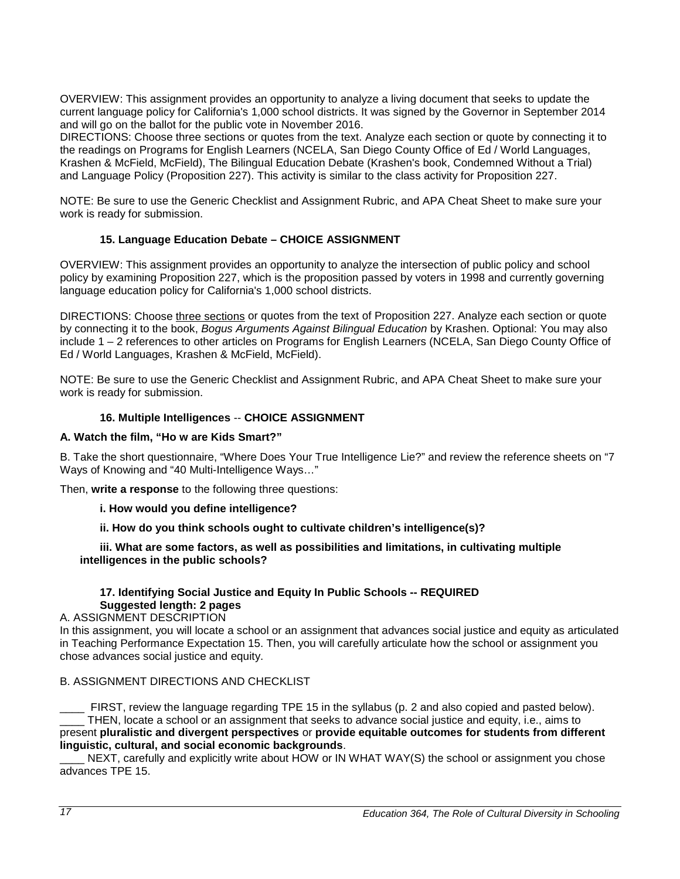OVERVIEW: This assignment provides an opportunity to analyze a living document that seeks to update the current language policy for California's 1,000 school districts. It was signed by the Governor in September 2014 and will go on the ballot for the public vote in November 2016.

DIRECTIONS: Choose three sections or quotes from the text. Analyze each section or quote by connecting it to the readings on Programs for English Learners (NCELA, San Diego County Office of Ed / World Languages, Krashen & McField, McField), The Bilingual Education Debate (Krashen's book, Condemned Without a Trial) and Language Policy (Proposition 227). This activity is similar to the class activity for Proposition 227.

NOTE: Be sure to use the Generic Checklist and Assignment Rubric, and APA Cheat Sheet to make sure your work is ready for submission.

#### **15. Language Education Debate – CHOICE ASSIGNMENT**

OVERVIEW: This assignment provides an opportunity to analyze the intersection of public policy and school policy by examining Proposition 227, which is the proposition passed by voters in 1998 and currently governing language education policy for California's 1,000 school districts.

DIRECTIONS: Choose three sections or quotes from the text of Proposition 227. Analyze each section or quote by connecting it to the book, *Bogus Arguments Against Bilingual Education* by Krashen. Optional: You may also include 1 – 2 references to other articles on Programs for English Learners (NCELA, San Diego County Office of Ed / World Languages, Krashen & McField, McField).

NOTE: Be sure to use the Generic Checklist and Assignment Rubric, and APA Cheat Sheet to make sure your work is ready for submission.

#### **16. Multiple Intelligences** -- **CHOICE ASSIGNMENT**

#### **A. Watch the film, "Ho w are Kids Smart?"**

B. Take the short questionnaire, "Where Does Your True Intelligence Lie?" and review the reference sheets on "7 Ways of Knowing and "40 Multi-Intelligence Ways…"

Then, **write a response** to the following three questions:

#### **i. How would you define intelligence?**

**ii. How do you think schools ought to cultivate children's intelligence(s)?** 

#### **iii. What are some factors, as well as possibilities and limitations, in cultivating multiple intelligences in the public schools?**

#### **17. Identifying Social Justice and Equity In Public Schools -- REQUIRED Suggested length: 2 pages**

A. ASSIGNMENT DESCRIPTION

In this assignment, you will locate a school or an assignment that advances social justice and equity as articulated in Teaching Performance Expectation 15. Then, you will carefully articulate how the school or assignment you chose advances social justice and equity.

#### B. ASSIGNMENT DIRECTIONS AND CHECKLIST

\_\_\_\_ FIRST, review the language regarding TPE 15 in the syllabus (p. 2 and also copied and pasted below). THEN, locate a school or an assignment that seeks to advance social justice and equity, i.e., aims to present **pluralistic and divergent perspectives** or **provide equitable outcomes for students from different linguistic, cultural, and social economic backgrounds**.

NEXT, carefully and explicitly write about HOW or IN WHAT WAY(S) the school or assignment you chose advances TPE 15.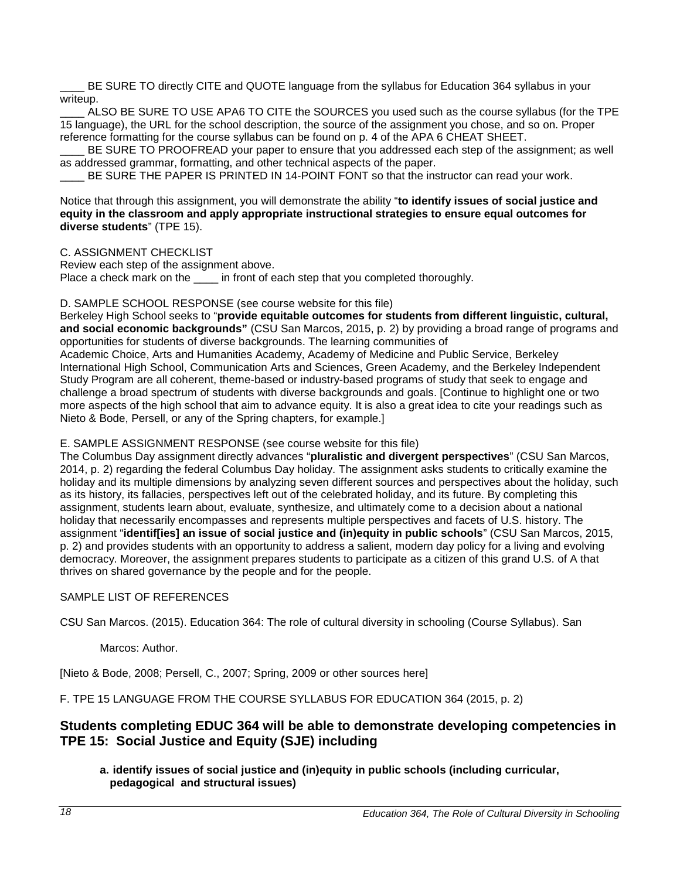BE SURE TO directly CITE and QUOTE language from the syllabus for Education 364 syllabus in your writeup.

ALSO BE SURE TO USE APA6 TO CITE the SOURCES you used such as the course syllabus (for the TPE 15 language), the URL for the school description, the source of the assignment you chose, and so on. Proper reference formatting for the course syllabus can be found on p. 4 of the APA 6 CHEAT SHEET.

BE SURE TO PROOFREAD your paper to ensure that you addressed each step of the assignment; as well as addressed grammar, formatting, and other technical aspects of the paper.

BE SURE THE PAPER IS PRINTED IN 14-POINT FONT so that the instructor can read your work.

Notice that through this assignment, you will demonstrate the ability "**to identify issues of social justice and equity in the classroom and apply appropriate instructional strategies to ensure equal outcomes for diverse students**" (TPE 15).

C. ASSIGNMENT CHECKLIST

Review each step of the assignment above. Place a check mark on the in front of each step that you completed thoroughly.

#### D. SAMPLE SCHOOL RESPONSE (see course website for this file)

Berkeley High School seeks to "**provide equitable outcomes for students from different linguistic, cultural, and social economic backgrounds"** (CSU San Marcos, 2015, p. 2) by providing a broad range of programs and opportunities for students of diverse backgrounds. The learning communities of

Academic Choice, Arts and Humanities Academy, Academy of Medicine and Public Service, Berkeley International High School, Communication Arts and Sciences, Green Academy, and the Berkeley Independent Study Program are all coherent, theme-based or industry-based programs of study that seek to engage and challenge a broad spectrum of students with diverse backgrounds and goals. [Continue to highlight one or two more aspects of the high school that aim to advance equity. It is also a great idea to cite your readings such as Nieto & Bode, Persell, or any of the Spring chapters, for example.]

E. SAMPLE ASSIGNMENT RESPONSE (see course website for this file)

The Columbus Day assignment directly advances "**pluralistic and divergent perspectives**" (CSU San Marcos, 2014, p. 2) regarding the federal Columbus Day holiday. The assignment asks students to critically examine the holiday and its multiple dimensions by analyzing seven different sources and perspectives about the holiday, such as its history, its fallacies, perspectives left out of the celebrated holiday, and its future. By completing this assignment, students learn about, evaluate, synthesize, and ultimately come to a decision about a national holiday that necessarily encompasses and represents multiple perspectives and facets of U.S. history. The assignment "**identif[ies] an issue of social justice and (in)equity in public schools**" (CSU San Marcos, 2015, p. 2) and provides students with an opportunity to address a salient, modern day policy for a living and evolving democracy. Moreover, the assignment prepares students to participate as a citizen of this grand U.S. of A that thrives on shared governance by the people and for the people.

#### SAMPLE LIST OF REFERENCES

CSU San Marcos. (2015). Education 364: The role of cultural diversity in schooling (Course Syllabus). San

#### Marcos: Author.

[Nieto & Bode, 2008; Persell, C., 2007; Spring, 2009 or other sources here]

F. TPE 15 LANGUAGE FROM THE COURSE SYLLABUS FOR EDUCATION 364 (2015, p. 2)

### **Students completing EDUC 364 will be able to demonstrate developing competencies in TPE 15: Social Justice and Equity (SJE) including**

**a. identify issues of social justice and (in)equity in public schools (including curricular, pedagogical and structural issues)**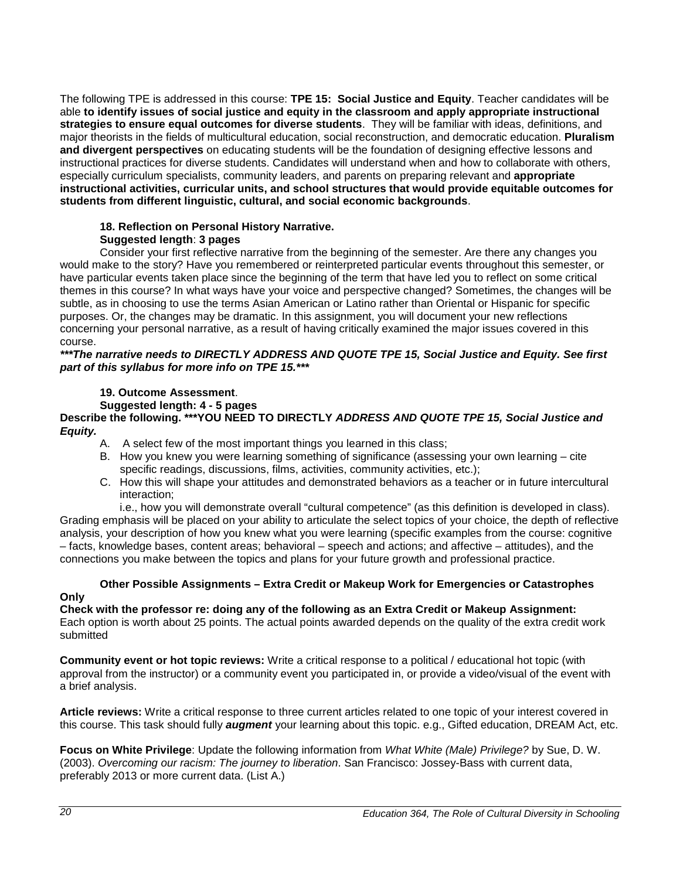The following TPE is addressed in this course: **TPE 15: Social Justice and Equity**. Teacher candidates will be able **to identify issues of social justice and equity in the classroom and apply appropriate instructional strategies to ensure equal outcomes for diverse students**. They will be familiar with ideas, definitions, and major theorists in the fields of multicultural education, social reconstruction, and democratic education. **Pluralism and divergent perspectives** on educating students will be the foundation of designing effective lessons and instructional practices for diverse students. Candidates will understand when and how to collaborate with others, especially curriculum specialists, community leaders, and parents on preparing relevant and **appropriate instructional activities, curricular units, and school structures that would provide equitable outcomes for students from different linguistic, cultural, and social economic backgrounds**.

#### **18. Reflection on Personal History Narrative. Suggested length**: **3 pages**

Consider your first reflective narrative from the beginning of the semester. Are there any changes you would make to the story? Have you remembered or reinterpreted particular events throughout this semester, or have particular events taken place since the beginning of the term that have led you to reflect on some critical themes in this course? In what ways have your voice and perspective changed? Sometimes, the changes will be subtle, as in choosing to use the terms Asian American or Latino rather than Oriental or Hispanic for specific purposes. Or, the changes may be dramatic. In this assignment, you will document your new reflections concerning your personal narrative, as a result of having critically examined the major issues covered in this course.

#### *\*\*\*The narrative needs to DIRECTLY ADDRESS AND QUOTE TPE 15, Social Justice and Equity. See first part of this syllabus for more info on TPE 15.\*\*\**

#### **19. Outcome Assessment**.

**Suggested length: 4 - 5 pages**

**Describe the following. \*\*\*YOU NEED TO DIRECTLY** *ADDRESS AND QUOTE TPE 15, Social Justice and Equity.*

- A. A select few of the most important things you learned in this class;
- B. How you knew you were learning something of significance (assessing your own learning cite specific readings, discussions, films, activities, community activities, etc.);
- C. How this will shape your attitudes and demonstrated behaviors as a teacher or in future intercultural interaction;

i.e., how you will demonstrate overall "cultural competence" (as this definition is developed in class). Grading emphasis will be placed on your ability to articulate the select topics of your choice, the depth of reflective analysis, your description of how you knew what you were learning (specific examples from the course: cognitive – facts, knowledge bases, content areas; behavioral – speech and actions; and affective – attitudes), and the connections you make between the topics and plans for your future growth and professional practice.

## **Other Possible Assignments – Extra Credit or Makeup Work for Emergencies or Catastrophes**

### **Only**

**Check with the professor re: doing any of the following as an Extra Credit or Makeup Assignment:** Each option is worth about 25 points. The actual points awarded depends on the quality of the extra credit work submitted

**Community event or hot topic reviews:** Write a critical response to a political / educational hot topic (with approval from the instructor) or a community event you participated in, or provide a video/visual of the event with a brief analysis.

**Article reviews:** Write a critical response to three current articles related to one topic of your interest covered in this course. This task should fully *augment* your learning about this topic. e.g., Gifted education, DREAM Act, etc.

**Focus on White Privilege**: Update the following information from *What White (Male) Privilege?* by Sue, D. W. (2003). *Overcoming our racism: The journey to liberation*. San Francisco: Jossey-Bass with current data, preferably 2013 or more current data. (List A.)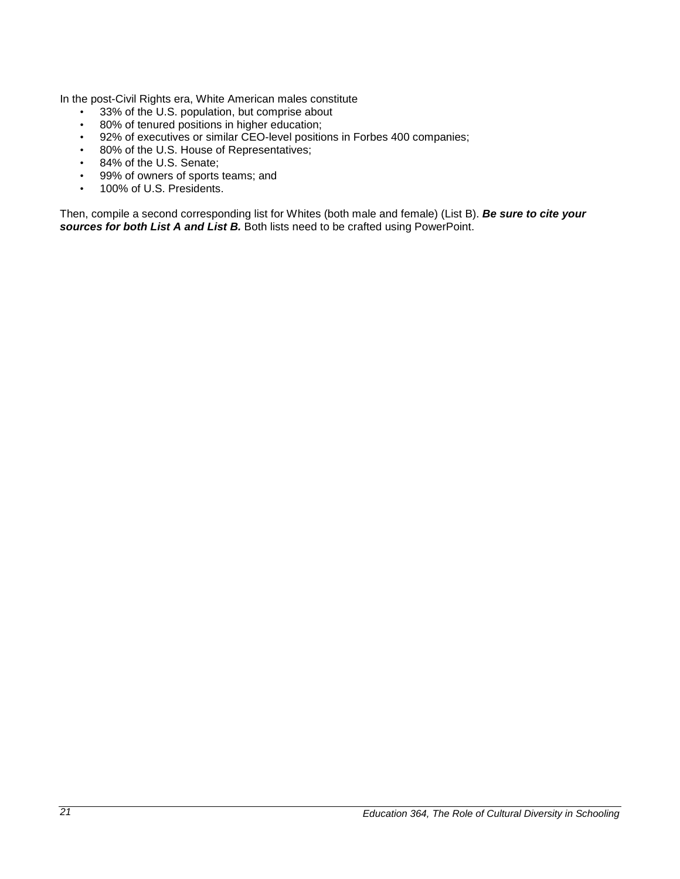In the post-Civil Rights era, White American males constitute

- 33% of the U.S. population, but comprise about
- 80% of tenured positions in higher education;
- 92% of executives or similar CEO-level positions in Forbes 400 companies;
- 80% of the U.S. House of Representatives;
- 84% of the U.S. Senate;
- 99% of owners of sports teams; and
- 100% of U.S. Presidents.

Then, compile a second corresponding list for Whites (both male and female) (List B). *Be sure to cite your sources for both List A and List B.* Both lists need to be crafted using PowerPoint.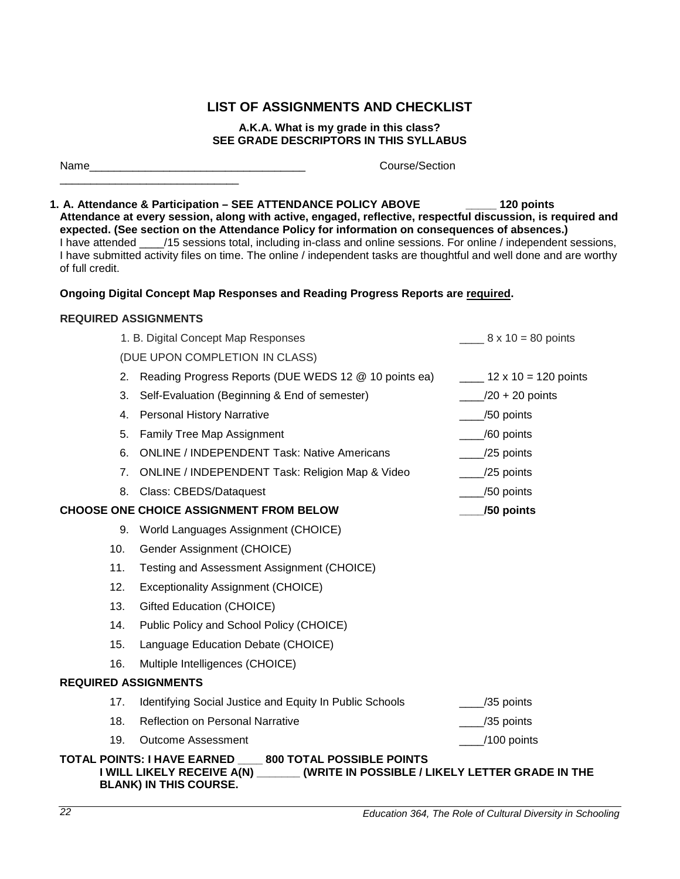### **LIST OF ASSIGNMENTS AND CHECKLIST**

#### **A.K.A. What is my grade in this class? SEE GRADE DESCRIPTORS IN THIS SYLLABUS**

<span id="page-21-0"></span>Name Course/Section

\_\_\_\_\_\_\_\_\_\_\_\_\_\_\_\_\_\_\_\_\_\_\_\_\_\_\_\_\_

**1. A. Attendance & Participation – SEE ATTENDANCE POLICY ABOVE \_\_\_\_\_ 120 points Attendance at every session, along with active, engaged, reflective, respectful discussion, is required and expected. (See section on the Attendance Policy for information on consequences of absences.)**  I have attended /15 sessions total, including in-class and online sessions. For online / independent sessions, I have submitted activity files on time. The online / independent tasks are thoughtful and well done and are worthy of full credit.

#### **Ongoing Digital Concept Map Responses and Reading Progress Reports are required.**

#### **REQUIRED ASSIGNMENTS**

|                             | 1. B. Digital Concept Map Responses                                                                                                                                          | $8 \times 10 = 80$ points   |
|-----------------------------|------------------------------------------------------------------------------------------------------------------------------------------------------------------------------|-----------------------------|
|                             | (DUE UPON COMPLETION IN CLASS)                                                                                                                                               |                             |
|                             | 2. Reading Progress Reports (DUE WEDS 12 @ 10 points ea)                                                                                                                     | $12 \times 10 = 120$ points |
| 3.                          | Self-Evaluation (Beginning & End of semester)                                                                                                                                | $/20 + 20$ points           |
| 4.                          | <b>Personal History Narrative</b>                                                                                                                                            | /50 points                  |
| 5.                          | Family Tree Map Assignment                                                                                                                                                   | /60 points                  |
| 6.                          | <b>ONLINE / INDEPENDENT Task: Native Americans</b>                                                                                                                           | /25 points                  |
| 7.                          | ONLINE / INDEPENDENT Task: Religion Map & Video                                                                                                                              | /25 points                  |
| 8.                          | Class: CBEDS/Dataquest                                                                                                                                                       | /50 points                  |
|                             | <b>CHOOSE ONE CHOICE ASSIGNMENT FROM BELOW</b>                                                                                                                               | /50 points                  |
|                             | 9. World Languages Assignment (CHOICE)                                                                                                                                       |                             |
| 10.                         | Gender Assignment (CHOICE)                                                                                                                                                   |                             |
| 11.                         | Testing and Assessment Assignment (CHOICE)                                                                                                                                   |                             |
| 12.                         | Exceptionality Assignment (CHOICE)                                                                                                                                           |                             |
| 13.                         | Gifted Education (CHOICE)                                                                                                                                                    |                             |
| 14.                         | Public Policy and School Policy (CHOICE)                                                                                                                                     |                             |
| 15.                         | Language Education Debate (CHOICE)                                                                                                                                           |                             |
| 16.                         | Multiple Intelligences (CHOICE)                                                                                                                                              |                             |
| <b>REQUIRED ASSIGNMENTS</b> |                                                                                                                                                                              |                             |
| 17.                         | Identifying Social Justice and Equity In Public Schools                                                                                                                      | /35 points                  |
| 18.                         | <b>Reflection on Personal Narrative</b>                                                                                                                                      | /35 points                  |
| 19.                         | <b>Outcome Assessment</b>                                                                                                                                                    | /100 points                 |
|                             | TOTAL POINTS: I HAVE EARNED ____ 800 TOTAL POSSIBLE POINTS<br>I WILL LIKELY RECEIVE A(N)<br>(WRITE IN POSSIBLE / LIKELY LETTER GRADE IN THE<br><b>BLANK) IN THIS COURSE.</b> |                             |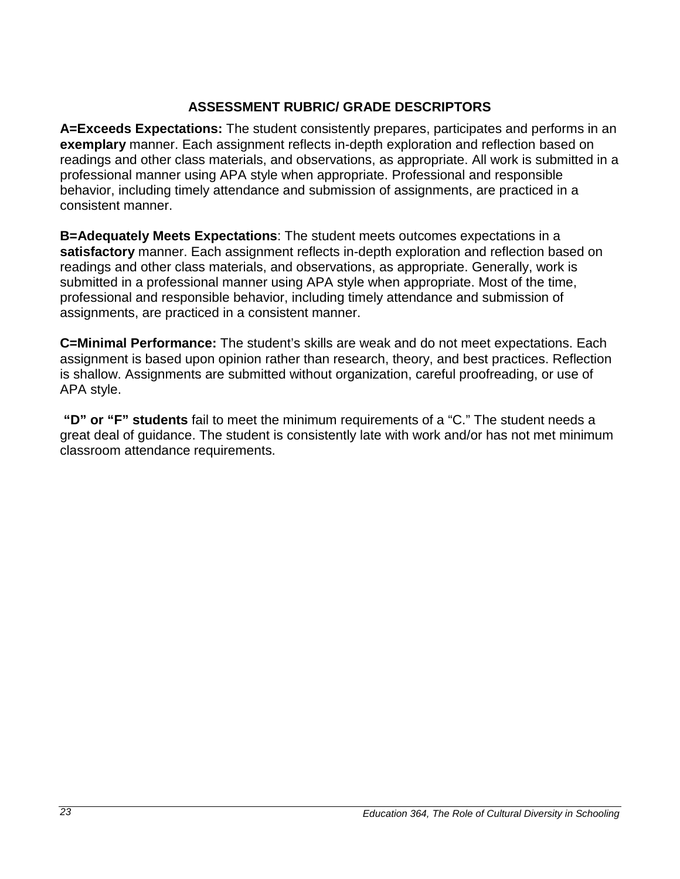## **ASSESSMENT RUBRIC/ GRADE DESCRIPTORS**

<span id="page-22-0"></span>**A=Exceeds Expectations:** The student consistently prepares, participates and performs in an **exemplary** manner. Each assignment reflects in-depth exploration and reflection based on readings and other class materials, and observations, as appropriate. All work is submitted in a professional manner using APA style when appropriate. Professional and responsible behavior, including timely attendance and submission of assignments, are practiced in a consistent manner.

**B=Adequately Meets Expectations**: The student meets outcomes expectations in a **satisfactory** manner. Each assignment reflects in-depth exploration and reflection based on readings and other class materials, and observations, as appropriate. Generally, work is submitted in a professional manner using APA style when appropriate. Most of the time, professional and responsible behavior, including timely attendance and submission of assignments, are practiced in a consistent manner.

**C=Minimal Performance:** The student's skills are weak and do not meet expectations. Each assignment is based upon opinion rather than research, theory, and best practices. Reflection is shallow. Assignments are submitted without organization, careful proofreading, or use of APA style.

**"D" or "F" students** fail to meet the minimum requirements of a "C." The student needs a great deal of guidance. The student is consistently late with work and/or has not met minimum classroom attendance requirements.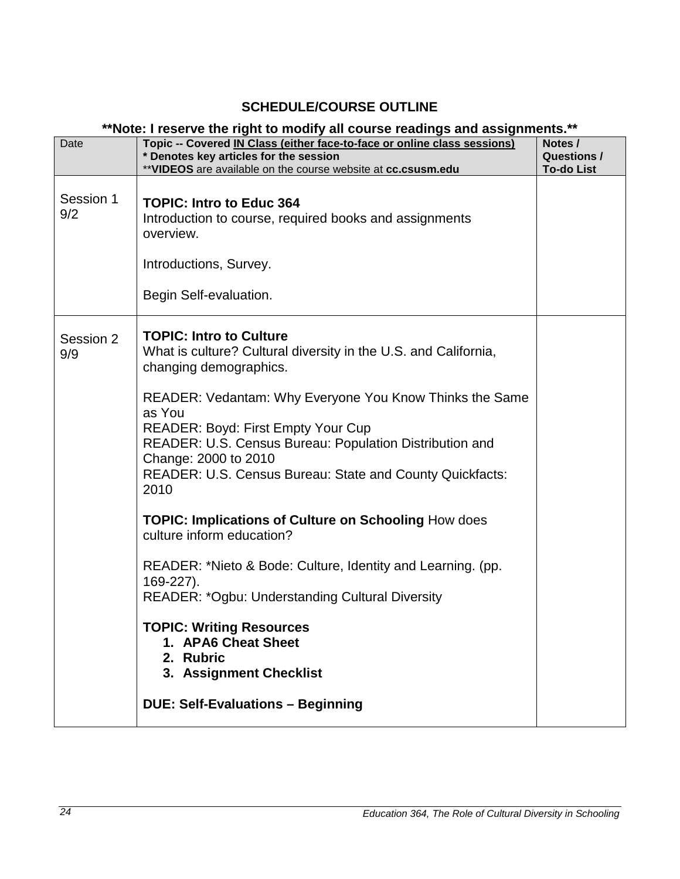## **SCHEDULE/COURSE OUTLINE**

### **\*\*Note: I reserve the right to modify all course readings and assignments.\*\***

<span id="page-23-0"></span>

| Date             | now. I issue ve the right to moun y an obaise readings and assignments.<br>Topic -- Covered IN Class (either face-to-face or online class sessions)<br>* Denotes key articles for the session                                                                                                                                                                                                                                                                                                                                                                                                                                                                                                                                                                                        | Notes /<br><b>Questions /</b> |
|------------------|--------------------------------------------------------------------------------------------------------------------------------------------------------------------------------------------------------------------------------------------------------------------------------------------------------------------------------------------------------------------------------------------------------------------------------------------------------------------------------------------------------------------------------------------------------------------------------------------------------------------------------------------------------------------------------------------------------------------------------------------------------------------------------------|-------------------------------|
|                  | ** VIDEOS are available on the course website at cc.csusm.edu                                                                                                                                                                                                                                                                                                                                                                                                                                                                                                                                                                                                                                                                                                                        | <b>To-do List</b>             |
| Session 1<br>9/2 | <b>TOPIC: Intro to Educ 364</b><br>Introduction to course, required books and assignments<br>overview.<br>Introductions, Survey.<br>Begin Self-evaluation.                                                                                                                                                                                                                                                                                                                                                                                                                                                                                                                                                                                                                           |                               |
| Session 2<br>9/9 | <b>TOPIC: Intro to Culture</b><br>What is culture? Cultural diversity in the U.S. and California,<br>changing demographics.<br>READER: Vedantam: Why Everyone You Know Thinks the Same<br>as You<br><b>READER: Boyd: First Empty Your Cup</b><br>READER: U.S. Census Bureau: Population Distribution and<br>Change: 2000 to 2010<br>READER: U.S. Census Bureau: State and County Quickfacts:<br>2010<br><b>TOPIC: Implications of Culture on Schooling How does</b><br>culture inform education?<br>READER: *Nieto & Bode: Culture, Identity and Learning. (pp.<br>169-227).<br><b>READER: *Ogbu: Understanding Cultural Diversity</b><br><b>TOPIC: Writing Resources</b><br>1. APA6 Cheat Sheet<br>2. Rubric<br>3. Assignment Checklist<br><b>DUE: Self-Evaluations - Beginning</b> |                               |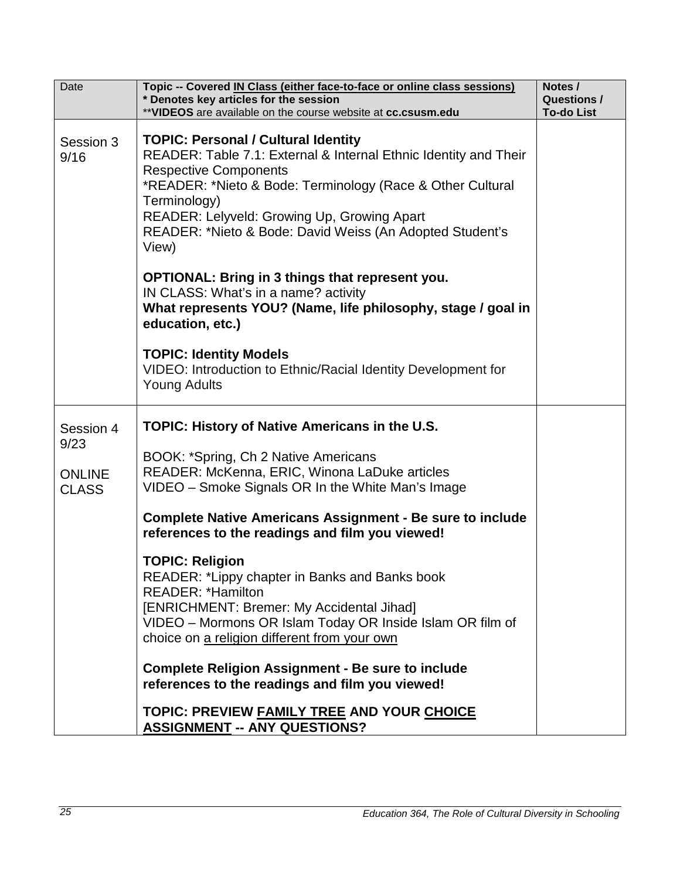| Date                                               | Topic -- Covered IN Class (either face-to-face or online class sessions)<br>* Denotes key articles for the session<br>** VIDEOS are available on the course website at cc.csusm.edu                                                                                                                                                                                                                                                                                                                                                                                                                                                                                                                                                                       | Notes /<br><b>Questions /</b><br><b>To-do List</b> |
|----------------------------------------------------|-----------------------------------------------------------------------------------------------------------------------------------------------------------------------------------------------------------------------------------------------------------------------------------------------------------------------------------------------------------------------------------------------------------------------------------------------------------------------------------------------------------------------------------------------------------------------------------------------------------------------------------------------------------------------------------------------------------------------------------------------------------|----------------------------------------------------|
| Session 3<br>9/16                                  | <b>TOPIC: Personal / Cultural Identity</b><br>READER: Table 7.1: External & Internal Ethnic Identity and Their<br><b>Respective Components</b><br>*READER: *Nieto & Bode: Terminology (Race & Other Cultural<br>Terminology)<br>READER: Lelyveld: Growing Up, Growing Apart<br>READER: *Nieto & Bode: David Weiss (An Adopted Student's<br>View)<br><b>OPTIONAL: Bring in 3 things that represent you.</b><br>IN CLASS: What's in a name? activity<br>What represents YOU? (Name, life philosophy, stage / goal in<br>education, etc.)                                                                                                                                                                                                                    |                                                    |
|                                                    | <b>TOPIC: Identity Models</b><br>VIDEO: Introduction to Ethnic/Racial Identity Development for<br><b>Young Adults</b>                                                                                                                                                                                                                                                                                                                                                                                                                                                                                                                                                                                                                                     |                                                    |
| Session 4<br>9/23<br><b>ONLINE</b><br><b>CLASS</b> | <b>TOPIC: History of Native Americans in the U.S.</b><br>BOOK: *Spring, Ch 2 Native Americans<br>READER: McKenna, ERIC, Winona LaDuke articles<br>VIDEO - Smoke Signals OR In the White Man's Image<br><b>Complete Native Americans Assignment - Be sure to include</b><br>references to the readings and film you viewed!<br><b>TOPIC: Religion</b><br>READER: *Lippy chapter in Banks and Banks book<br><b>READER: *Hamilton</b><br>[ENRICHMENT: Bremer: My Accidental Jihad]<br>VIDEO - Mormons OR Islam Today OR Inside Islam OR film of<br>choice on a religion different from your own<br><b>Complete Religion Assignment - Be sure to include</b><br>references to the readings and film you viewed!<br>TOPIC: PREVIEW FAMILY TREE AND YOUR CHOICE |                                                    |
|                                                    | <b>ASSIGNMENT -- ANY QUESTIONS?</b>                                                                                                                                                                                                                                                                                                                                                                                                                                                                                                                                                                                                                                                                                                                       |                                                    |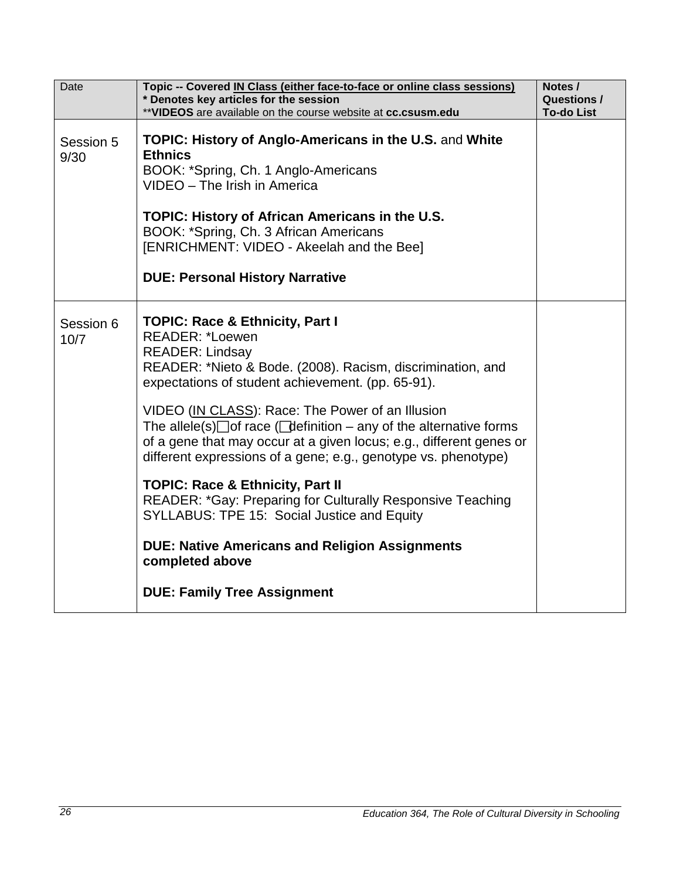| Date              | Topic -- Covered IN Class (either face-to-face or online class sessions)<br>* Denotes key articles for the session<br>** VIDEOS are available on the course website at cc.csusm.edu                                                                                                                                                                                                                                                                                                               | Notes /<br><b>Questions /</b><br><b>To-do List</b> |
|-------------------|---------------------------------------------------------------------------------------------------------------------------------------------------------------------------------------------------------------------------------------------------------------------------------------------------------------------------------------------------------------------------------------------------------------------------------------------------------------------------------------------------|----------------------------------------------------|
| Session 5<br>9/30 | <b>TOPIC: History of Anglo-Americans in the U.S. and White</b><br><b>Ethnics</b><br>BOOK: *Spring, Ch. 1 Anglo-Americans<br>VIDEO - The Irish in America<br>TOPIC: History of African Americans in the U.S.<br>BOOK: *Spring, Ch. 3 African Americans<br>[ENRICHMENT: VIDEO - Akeelah and the Bee]<br><b>DUE: Personal History Narrative</b>                                                                                                                                                      |                                                    |
| Session 6<br>10/7 | <b>TOPIC: Race &amp; Ethnicity, Part I</b><br><b>READER: *Loewen</b><br><b>READER: Lindsay</b><br>READER: *Nieto & Bode. (2008). Racism, discrimination, and<br>expectations of student achievement. (pp. 65-91).<br>VIDEO (IN CLASS): Race: The Power of an Illusion<br>The allele(s) $\Box$ of race ( $\Box$ definition – any of the alternative forms<br>of a gene that may occur at a given locus; e.g., different genes or<br>different expressions of a gene; e.g., genotype vs. phenotype) |                                                    |
|                   | <b>TOPIC: Race &amp; Ethnicity, Part II</b><br>READER: *Gay: Preparing for Culturally Responsive Teaching<br>SYLLABUS: TPE 15: Social Justice and Equity<br><b>DUE: Native Americans and Religion Assignments</b><br>completed above                                                                                                                                                                                                                                                              |                                                    |
|                   | <b>DUE: Family Tree Assignment</b>                                                                                                                                                                                                                                                                                                                                                                                                                                                                |                                                    |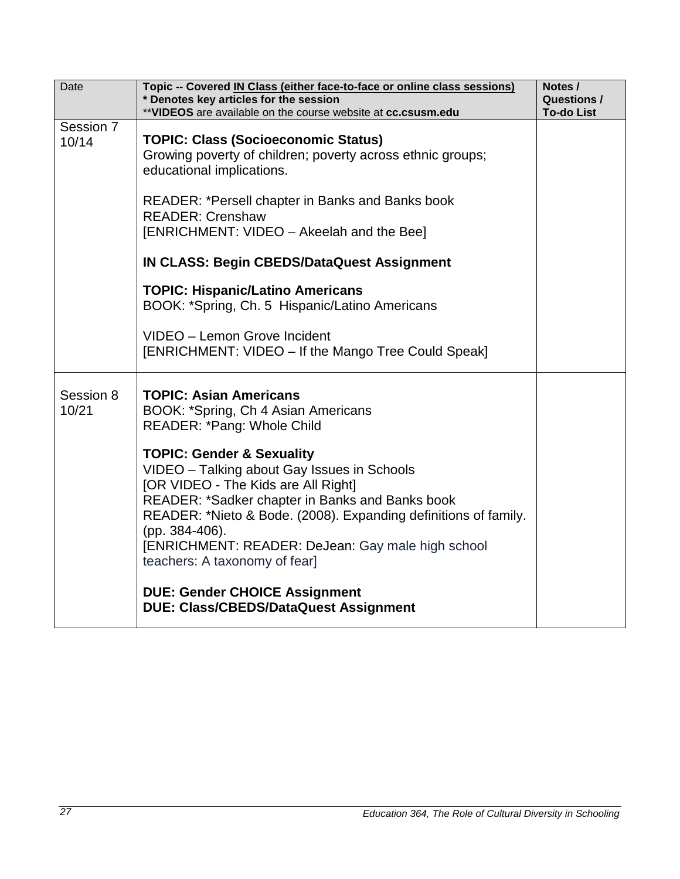| Date               | Topic -- Covered IN Class (either face-to-face or online class sessions)<br>* Denotes key articles for the session<br>** VIDEOS are available on the course website at cc.csusm.edu                                                                                                                                                                                                                                                                                                                                                                    | Notes /<br><b>Questions /</b><br><b>To-do List</b> |
|--------------------|--------------------------------------------------------------------------------------------------------------------------------------------------------------------------------------------------------------------------------------------------------------------------------------------------------------------------------------------------------------------------------------------------------------------------------------------------------------------------------------------------------------------------------------------------------|----------------------------------------------------|
| Session 7<br>10/14 | <b>TOPIC: Class (Socioeconomic Status)</b><br>Growing poverty of children; poverty across ethnic groups;<br>educational implications.<br><b>READER: *Persell chapter in Banks and Banks book</b><br><b>READER: Crenshaw</b><br>[ENRICHMENT: VIDEO - Akeelah and the Bee]<br><b>IN CLASS: Begin CBEDS/DataQuest Assignment</b><br><b>TOPIC: Hispanic/Latino Americans</b><br>BOOK: *Spring, Ch. 5 Hispanic/Latino Americans<br>VIDEO - Lemon Grove Incident<br>[ENRICHMENT: VIDEO – If the Mango Tree Could Speak]                                      |                                                    |
| Session 8<br>10/21 | <b>TOPIC: Asian Americans</b><br>BOOK: *Spring, Ch 4 Asian Americans<br>READER: *Pang: Whole Child<br><b>TOPIC: Gender &amp; Sexuality</b><br>VIDEO - Talking about Gay Issues in Schools<br>[OR VIDEO - The Kids are All Right]<br>READER: *Sadker chapter in Banks and Banks book<br>READER: *Nieto & Bode. (2008). Expanding definitions of family.<br>(pp. 384-406).<br>[ENRICHMENT: READER: DeJean: Gay male high school<br>teachers: A taxonomy of fear]<br><b>DUE: Gender CHOICE Assignment</b><br><b>DUE: Class/CBEDS/DataQuest Assignment</b> |                                                    |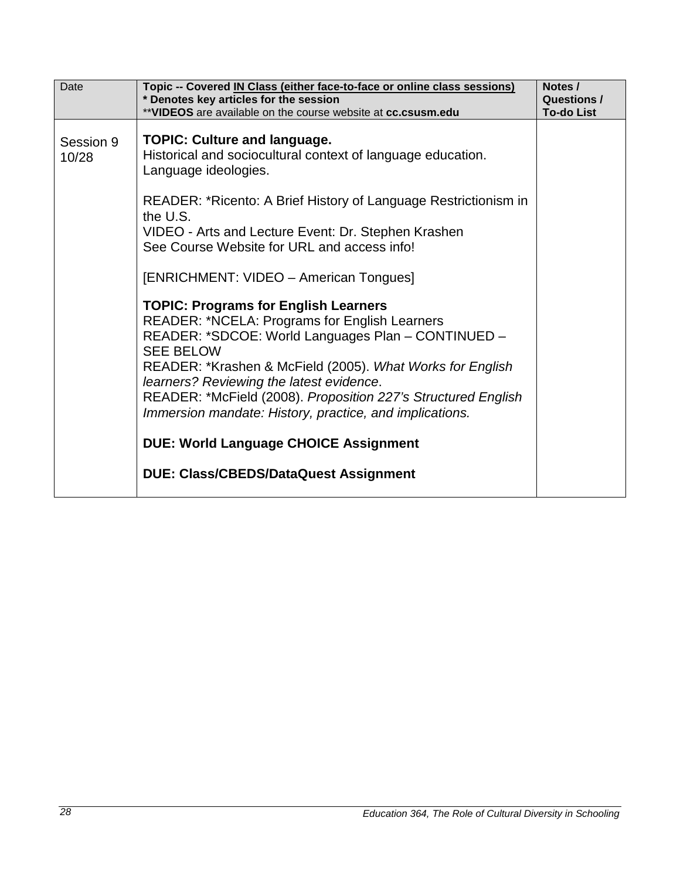| Date               | Topic -- Covered IN Class (either face-to-face or online class sessions)                                                                                                                                                                                                                                                                                                                                                                                                                                                                                                                                                                                                                                                                                                                                                                                                        | Notes /                          |
|--------------------|---------------------------------------------------------------------------------------------------------------------------------------------------------------------------------------------------------------------------------------------------------------------------------------------------------------------------------------------------------------------------------------------------------------------------------------------------------------------------------------------------------------------------------------------------------------------------------------------------------------------------------------------------------------------------------------------------------------------------------------------------------------------------------------------------------------------------------------------------------------------------------|----------------------------------|
|                    | * Denotes key articles for the session<br>** VIDEOS are available on the course website at cc.csusm.edu                                                                                                                                                                                                                                                                                                                                                                                                                                                                                                                                                                                                                                                                                                                                                                         | Questions /<br><b>To-do List</b> |
| Session 9<br>10/28 | <b>TOPIC: Culture and language.</b><br>Historical and sociocultural context of language education.<br>Language ideologies.<br>READER: *Ricento: A Brief History of Language Restrictionism in<br>the U.S.<br>VIDEO - Arts and Lecture Event: Dr. Stephen Krashen<br>See Course Website for URL and access info!<br>[ENRICHMENT: VIDEO - American Tongues]<br><b>TOPIC: Programs for English Learners</b><br><b>READER: *NCELA: Programs for English Learners</b><br>READER: *SDCOE: World Languages Plan - CONTINUED -<br><b>SEE BELOW</b><br>READER: *Krashen & McField (2005). What Works for English<br>learners? Reviewing the latest evidence.<br>READER: *McField (2008). Proposition 227's Structured English<br>Immersion mandate: History, practice, and implications.<br><b>DUE: World Language CHOICE Assignment</b><br><b>DUE: Class/CBEDS/DataQuest Assignment</b> |                                  |
|                    |                                                                                                                                                                                                                                                                                                                                                                                                                                                                                                                                                                                                                                                                                                                                                                                                                                                                                 |                                  |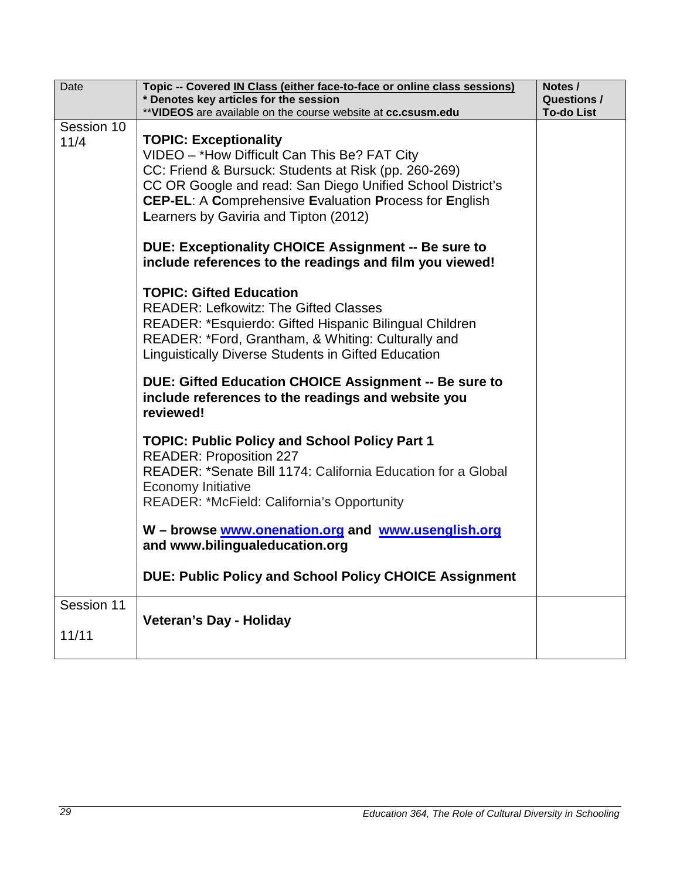| Date                | Topic -- Covered IN Class (either face-to-face or online class sessions)<br>* Denotes key articles for the session                                                                                                                                                                                           | Notes /<br><b>Questions /</b> |
|---------------------|--------------------------------------------------------------------------------------------------------------------------------------------------------------------------------------------------------------------------------------------------------------------------------------------------------------|-------------------------------|
|                     | ** VIDEOS are available on the course website at cc.csusm.edu                                                                                                                                                                                                                                                | <b>To-do List</b>             |
| Session 10<br>11/4  | <b>TOPIC: Exceptionality</b><br>VIDEO - *How Difficult Can This Be? FAT City<br>CC: Friend & Bursuck: Students at Risk (pp. 260-269)<br>CC OR Google and read: San Diego Unified School District's<br><b>CEP-EL: A Comprehensive Evaluation Process for English</b><br>Learners by Gaviria and Tipton (2012) |                               |
|                     | DUE: Exceptionality CHOICE Assignment -- Be sure to<br>include references to the readings and film you viewed!                                                                                                                                                                                               |                               |
|                     | <b>TOPIC: Gifted Education</b><br><b>READER: Lefkowitz: The Gifted Classes</b><br>READER: *Esquierdo: Gifted Hispanic Bilingual Children<br>READER: *Ford, Grantham, & Whiting: Culturally and<br>Linguistically Diverse Students in Gifted Education                                                        |                               |
|                     | DUE: Gifted Education CHOICE Assignment -- Be sure to<br>include references to the readings and website you<br>reviewed!                                                                                                                                                                                     |                               |
|                     | <b>TOPIC: Public Policy and School Policy Part 1</b><br><b>READER: Proposition 227</b><br>READER: *Senate Bill 1174: California Education for a Global<br><b>Economy Initiative</b><br>READER: *McField: California's Opportunity                                                                            |                               |
|                     | W - browse www.onenation.org and www.usenglish.org<br>and www.bilingualeducation.org                                                                                                                                                                                                                         |                               |
|                     | <b>DUE: Public Policy and School Policy CHOICE Assignment</b>                                                                                                                                                                                                                                                |                               |
| Session 11<br>11/11 | <b>Veteran's Day - Holiday</b>                                                                                                                                                                                                                                                                               |                               |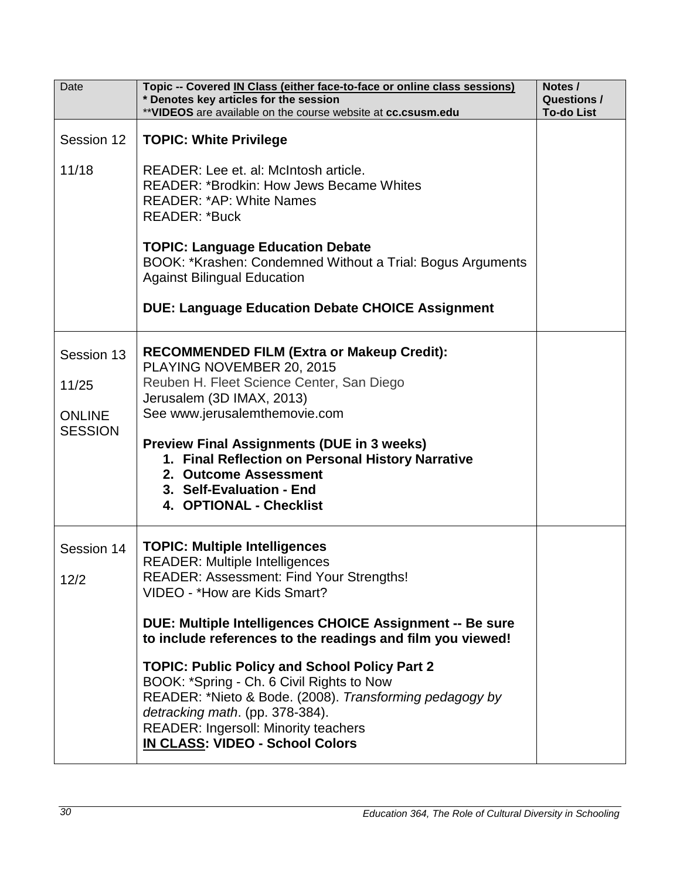| Date                                                   | Topic -- Covered IN Class (either face-to-face or online class sessions)<br>* Denotes key articles for the session<br>** VIDEOS are available on the course website at cc.csusm.edu                                                                                                                                                                                                                                                                                                                                                                                             | Notes /<br><b>Questions /</b><br><b>To-do List</b> |
|--------------------------------------------------------|---------------------------------------------------------------------------------------------------------------------------------------------------------------------------------------------------------------------------------------------------------------------------------------------------------------------------------------------------------------------------------------------------------------------------------------------------------------------------------------------------------------------------------------------------------------------------------|----------------------------------------------------|
| Session 12<br>11/18                                    | <b>TOPIC: White Privilege</b><br>READER: Lee et. al: McIntosh article.<br><b>READER: *Brodkin: How Jews Became Whites</b><br><b>READER: *AP: White Names</b><br><b>READER: *Buck</b><br><b>TOPIC: Language Education Debate</b><br>BOOK: *Krashen: Condemned Without a Trial: Bogus Arguments<br><b>Against Bilingual Education</b><br><b>DUE: Language Education Debate CHOICE Assignment</b>                                                                                                                                                                                  |                                                    |
| Session 13<br>11/25<br><b>ONLINE</b><br><b>SESSION</b> | <b>RECOMMENDED FILM (Extra or Makeup Credit):</b><br>PLAYING NOVEMBER 20, 2015<br>Reuben H. Fleet Science Center, San Diego<br>Jerusalem (3D IMAX, 2013)<br>See www.jerusalemthemovie.com<br><b>Preview Final Assignments (DUE in 3 weeks)</b><br>1. Final Reflection on Personal History Narrative<br>2. Outcome Assessment<br>3. Self-Evaluation - End<br>4. OPTIONAL - Checklist                                                                                                                                                                                             |                                                    |
| Session 14<br>12/2                                     | <b>TOPIC: Multiple Intelligences</b><br><b>READER: Multiple Intelligences</b><br>READER: Assessment: Find Your Strengths!<br>VIDEO - *How are Kids Smart?<br>DUE: Multiple Intelligences CHOICE Assignment -- Be sure<br>to include references to the readings and film you viewed!<br><b>TOPIC: Public Policy and School Policy Part 2</b><br>BOOK: *Spring - Ch. 6 Civil Rights to Now<br>READER: *Nieto & Bode. (2008). Transforming pedagogy by<br>detracking math. (pp. 378-384).<br><b>READER: Ingersoll: Minority teachers</b><br><b>IN CLASS: VIDEO - School Colors</b> |                                                    |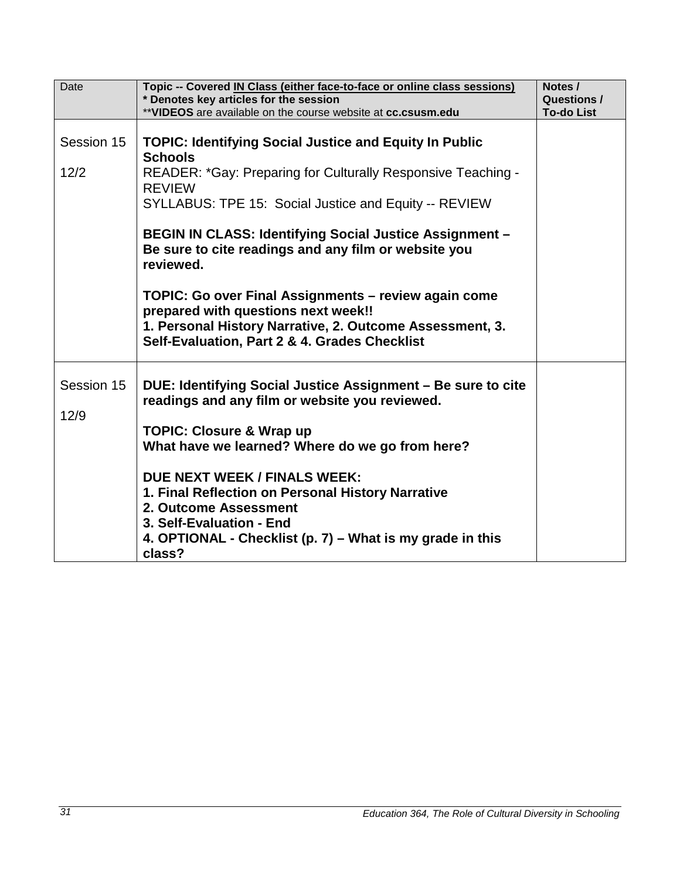| Date               | Topic -- Covered IN Class (either face-to-face or online class sessions)<br>* Denotes key articles for the session<br>** VIDEOS are available on the course website at cc.csusm.edu                      | Notes /<br><b>Questions /</b> |
|--------------------|----------------------------------------------------------------------------------------------------------------------------------------------------------------------------------------------------------|-------------------------------|
|                    |                                                                                                                                                                                                          | <b>To-do List</b>             |
| Session 15         | <b>TOPIC: Identifying Social Justice and Equity In Public</b><br><b>Schools</b>                                                                                                                          |                               |
| 12/2               | READER: *Gay: Preparing for Culturally Responsive Teaching -<br><b>REVIEW</b>                                                                                                                            |                               |
|                    | SYLLABUS: TPE 15: Social Justice and Equity -- REVIEW                                                                                                                                                    |                               |
|                    | BEGIN IN CLASS: Identifying Social Justice Assignment -<br>Be sure to cite readings and any film or website you<br>reviewed.                                                                             |                               |
|                    | TOPIC: Go over Final Assignments – review again come<br>prepared with questions next week!!<br>1. Personal History Narrative, 2. Outcome Assessment, 3.<br>Self-Evaluation, Part 2 & 4. Grades Checklist |                               |
| Session 15<br>12/9 | DUE: Identifying Social Justice Assignment – Be sure to cite<br>readings and any film or website you reviewed.                                                                                           |                               |
|                    | <b>TOPIC: Closure &amp; Wrap up</b><br>What have we learned? Where do we go from here?                                                                                                                   |                               |
|                    | <b>DUE NEXT WEEK / FINALS WEEK:</b><br>1. Final Reflection on Personal History Narrative<br>2. Outcome Assessment<br>3. Self-Evaluation - End                                                            |                               |
|                    | 4. OPTIONAL - Checklist (p. 7) – What is my grade in this<br>class?                                                                                                                                      |                               |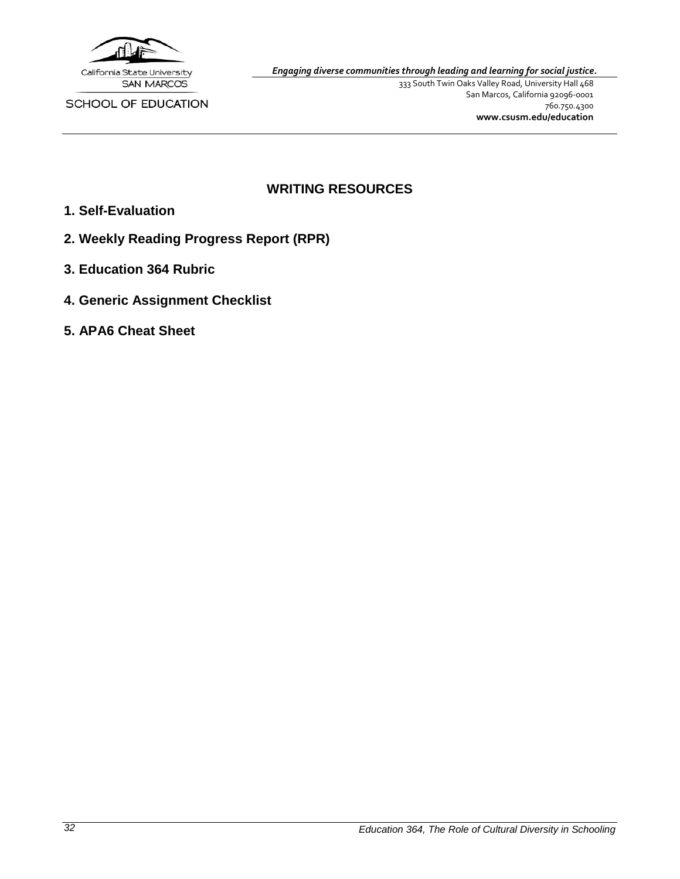

SCHOOL OF EDUCATION

*Engaging diverse communities through leading and learning for social justice.*

333 South Twin Oaks Valley Road, University Hall 468 San Marcos, California 92096-0001 760.750.4300 **[www.csusm.edu/education](http://www.csusm.edu/education)**

## **WRITING RESOURCES**

- <span id="page-31-0"></span>**1. Self-Evaluation**
- **2. Weekly Reading Progress Report (RPR)**
- **3. Education 364 Rubric**
- **4. Generic Assignment Checklist**
- **5. APA6 Cheat Sheet**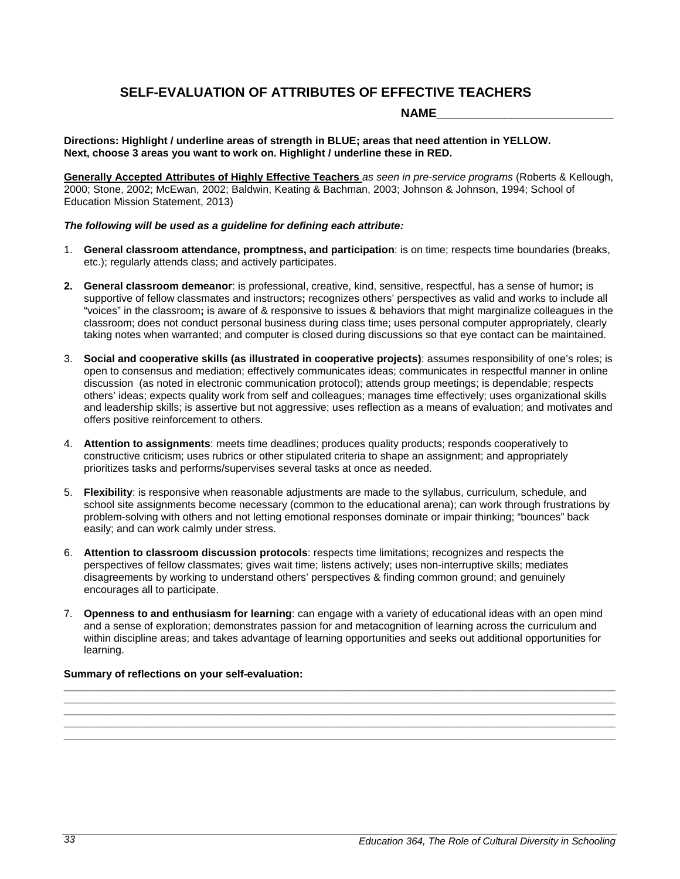### **SELF-EVALUATION OF ATTRIBUTES OF EFFECTIVE TEACHERS**

**NAME\_\_\_\_\_\_\_\_\_\_\_\_\_\_\_\_\_\_\_\_\_\_\_\_\_\_**

<span id="page-32-0"></span>**Directions: Highlight / underline areas of strength in BLUE; areas that need attention in YELLOW. Next, choose 3 areas you want to work on. Highlight / underline these in RED.**

**Generally Accepted Attributes of Highly Effective Teachers** *as seen in pre-service programs* (Roberts & Kellough, 2000; Stone, 2002; McEwan, 2002; Baldwin, Keating & Bachman, 2003; Johnson & Johnson, 1994; School of Education Mission Statement, 2013)

#### *The following will be used as a guideline for defining each attribute:*

- 1. **General classroom attendance, promptness, and participation**: is on time; respects time boundaries (breaks, etc.); regularly attends class; and actively participates.
- **2. General classroom demeanor**: is professional, creative, kind, sensitive, respectful, has a sense of humor**;** is supportive of fellow classmates and instructors**;** recognizes others' perspectives as valid and works to include all "voices" in the classroom**;** is aware of & responsive to issues & behaviors that might marginalize colleagues in the classroom; does not conduct personal business during class time; uses personal computer appropriately, clearly taking notes when warranted; and computer is closed during discussions so that eye contact can be maintained.
- 3. **Social and cooperative skills (as illustrated in cooperative projects)**: assumes responsibility of one's roles; is open to consensus and mediation; effectively communicates ideas; communicates in respectful manner in online discussion (as noted in electronic communication protocol); attends group meetings; is dependable; respects others' ideas; expects quality work from self and colleagues; manages time effectively; uses organizational skills and leadership skills; is assertive but not aggressive; uses reflection as a means of evaluation; and motivates and offers positive reinforcement to others.
- 4. **Attention to assignments**: meets time deadlines; produces quality products; responds cooperatively to constructive criticism; uses rubrics or other stipulated criteria to shape an assignment; and appropriately prioritizes tasks and performs/supervises several tasks at once as needed.
- 5. **Flexibility**: is responsive when reasonable adjustments are made to the syllabus, curriculum, schedule, and school site assignments become necessary (common to the educational arena); can work through frustrations by problem-solving with others and not letting emotional responses dominate or impair thinking; "bounces" back easily; and can work calmly under stress.
- 6. **Attention to classroom discussion protocols**: respects time limitations; recognizes and respects the perspectives of fellow classmates; gives wait time; listens actively; uses non-interruptive skills; mediates disagreements by working to understand others' perspectives & finding common ground; and genuinely encourages all to participate.
- 7. **Openness to and enthusiasm for learning**: can engage with a variety of educational ideas with an open mind and a sense of exploration; demonstrates passion for and metacognition of learning across the curriculum and within discipline areas; and takes advantage of learning opportunities and seeks out additional opportunities for learning.

**\_\_\_\_\_\_\_\_\_\_\_\_\_\_\_\_\_\_\_\_\_\_\_\_\_\_\_\_\_\_\_\_\_\_\_\_\_\_\_\_\_\_\_\_\_\_\_\_\_\_\_\_\_\_\_\_\_\_\_\_\_\_\_\_\_\_\_\_\_\_\_\_\_\_\_\_\_\_\_\_\_\_\_\_\_\_\_\_\_\_\_\_\_\_ \_\_\_\_\_\_\_\_\_\_\_\_\_\_\_\_\_\_\_\_\_\_\_\_\_\_\_\_\_\_\_\_\_\_\_\_\_\_\_\_\_\_\_\_\_\_\_\_\_\_\_\_\_\_\_\_\_\_\_\_\_\_\_\_\_\_\_\_\_\_\_\_\_\_\_\_\_\_\_\_\_\_\_\_\_\_\_\_\_\_\_\_\_\_ \_\_\_\_\_\_\_\_\_\_\_\_\_\_\_\_\_\_\_\_\_\_\_\_\_\_\_\_\_\_\_\_\_\_\_\_\_\_\_\_\_\_\_\_\_\_\_\_\_\_\_\_\_\_\_\_\_\_\_\_\_\_\_\_\_\_\_\_\_\_\_\_\_\_\_\_\_\_\_\_\_\_\_\_\_\_\_\_\_\_\_\_\_\_ \_\_\_\_\_\_\_\_\_\_\_\_\_\_\_\_\_\_\_\_\_\_\_\_\_\_\_\_\_\_\_\_\_\_\_\_\_\_\_\_\_\_\_\_\_\_\_\_\_\_\_\_\_\_\_\_\_\_\_\_\_\_\_\_\_\_\_\_\_\_\_\_\_\_\_\_\_\_\_\_\_\_\_\_\_\_\_\_\_\_\_\_\_\_ \_\_\_\_\_\_\_\_\_\_\_\_\_\_\_\_\_\_\_\_\_\_\_\_\_\_\_\_\_\_\_\_\_\_\_\_\_\_\_\_\_\_\_\_\_\_\_\_\_\_\_\_\_\_\_\_\_\_\_\_\_\_\_\_\_\_\_\_\_\_\_\_\_\_\_\_\_\_\_\_\_\_\_\_\_\_\_\_\_\_\_\_\_\_**

#### **Summary of reflections on your self-evaluation:**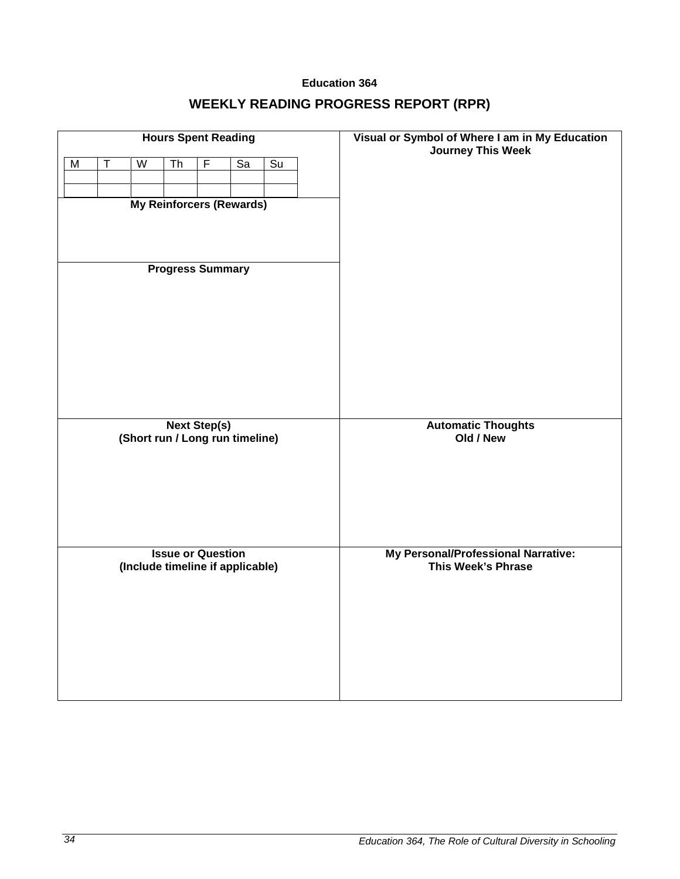### **Education 364**

# **WEEKLY READING PROGRESS REPORT (RPR)**

<span id="page-33-0"></span>

| <b>Hours Spent Reading</b>                                 |                   |                                  |                          |                     |    |                 | Visual or Symbol of Where I am in My Education            |
|------------------------------------------------------------|-------------------|----------------------------------|--------------------------|---------------------|----|-----------------|-----------------------------------------------------------|
| $\overline{M}$                                             | $\overline{\top}$ | $\overline{W}$                   | $\overline{\text{Th}}$   | F                   | Sa | $\overline{Su}$ | <b>Journey This Week</b>                                  |
|                                                            |                   |                                  |                          |                     |    |                 |                                                           |
| <b>My Reinforcers (Rewards)</b><br><b>Progress Summary</b> |                   |                                  |                          |                     |    |                 |                                                           |
|                                                            |                   |                                  |                          |                     |    |                 |                                                           |
|                                                            |                   | (Short run / Long run timeline)  |                          | <b>Next Step(s)</b> |    |                 | <b>Automatic Thoughts</b><br>Old / New                    |
|                                                            |                   | (Include timeline if applicable) | <b>Issue or Question</b> |                     |    |                 | My Personal/Professional Narrative:<br>This Week's Phrase |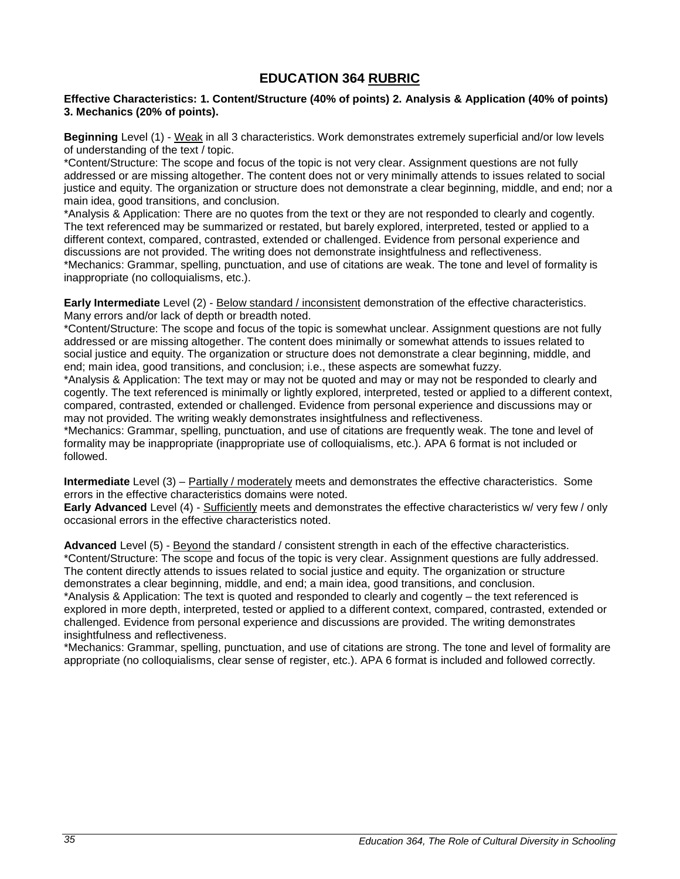### **EDUCATION 364 RUBRIC**

#### <span id="page-34-0"></span>**Effective Characteristics: 1. Content/Structure (40% of points) 2. Analysis & Application (40% of points) 3. Mechanics (20% of points).**

**Beginning** Level (1) - Weak in all 3 characteristics. Work demonstrates extremely superficial and/or low levels of understanding of the text / topic.

\*Content/Structure: The scope and focus of the topic is not very clear. Assignment questions are not fully addressed or are missing altogether. The content does not or very minimally attends to issues related to social justice and equity. The organization or structure does not demonstrate a clear beginning, middle, and end; nor a main idea, good transitions, and conclusion.

\*Analysis & Application: There are no quotes from the text or they are not responded to clearly and cogently. The text referenced may be summarized or restated, but barely explored, interpreted, tested or applied to a different context, compared, contrasted, extended or challenged. Evidence from personal experience and discussions are not provided. The writing does not demonstrate insightfulness and reflectiveness. \*Mechanics: Grammar, spelling, punctuation, and use of citations are weak. The tone and level of formality is inappropriate (no colloquialisms, etc.).

**Early Intermediate** Level (2) - Below standard / inconsistent demonstration of the effective characteristics. Many errors and/or lack of depth or breadth noted.

\*Content/Structure: The scope and focus of the topic is somewhat unclear. Assignment questions are not fully addressed or are missing altogether. The content does minimally or somewhat attends to issues related to social justice and equity. The organization or structure does not demonstrate a clear beginning, middle, and end; main idea, good transitions, and conclusion; i.e., these aspects are somewhat fuzzy.

\*Analysis & Application: The text may or may not be quoted and may or may not be responded to clearly and cogently. The text referenced is minimally or lightly explored, interpreted, tested or applied to a different context, compared, contrasted, extended or challenged. Evidence from personal experience and discussions may or may not provided. The writing weakly demonstrates insightfulness and reflectiveness.

\*Mechanics: Grammar, spelling, punctuation, and use of citations are frequently weak. The tone and level of formality may be inappropriate (inappropriate use of colloquialisms, etc.). APA 6 format is not included or followed.

**Intermediate** Level (3) – Partially / moderately meets and demonstrates the effective characteristics. Some errors in the effective characteristics domains were noted.

**Early Advanced** Level (4) - Sufficiently meets and demonstrates the effective characteristics w/ very few / only occasional errors in the effective characteristics noted.

**Advanced** Level (5) - Beyond the standard / consistent strength in each of the effective characteristics. \*Content/Structure: The scope and focus of the topic is very clear. Assignment questions are fully addressed. The content directly attends to issues related to social justice and equity. The organization or structure demonstrates a clear beginning, middle, and end; a main idea, good transitions, and conclusion. \*Analysis & Application: The text is quoted and responded to clearly and cogently – the text referenced is explored in more depth, interpreted, tested or applied to a different context, compared, contrasted, extended or challenged. Evidence from personal experience and discussions are provided. The writing demonstrates insightfulness and reflectiveness.

\*Mechanics: Grammar, spelling, punctuation, and use of citations are strong. The tone and level of formality are appropriate (no colloquialisms, clear sense of register, etc.). APA 6 format is included and followed correctly.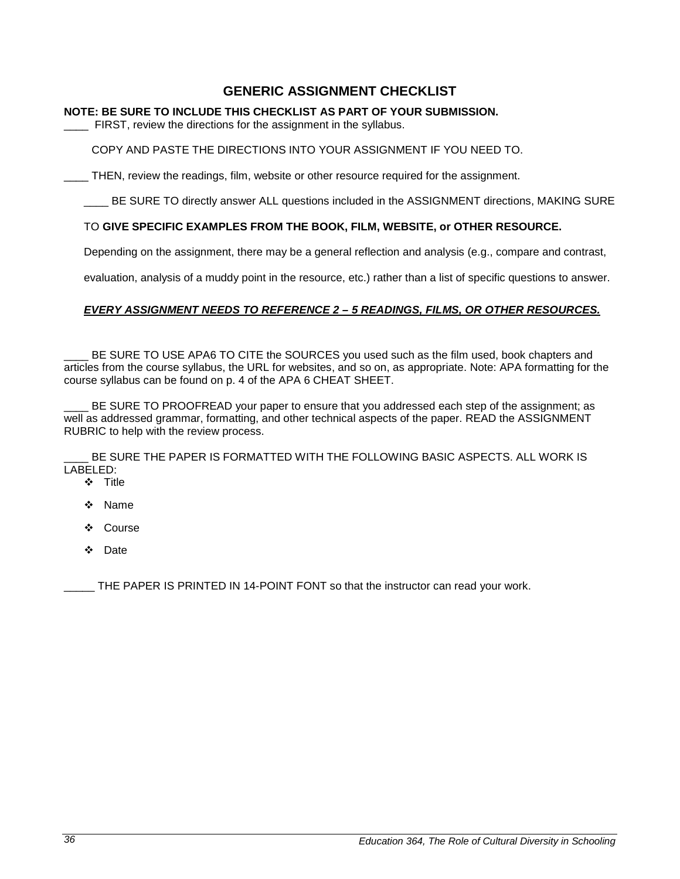### **GENERIC ASSIGNMENT CHECKLIST**

#### <span id="page-35-0"></span>**NOTE: BE SURE TO INCLUDE THIS CHECKLIST AS PART OF YOUR SUBMISSION.**

FIRST, review the directions for the assignment in the syllabus.

COPY AND PASTE THE DIRECTIONS INTO YOUR ASSIGNMENT IF YOU NEED TO.

\_\_\_\_ THEN, review the readings, film, website or other resource required for the assignment.

LETT BE SURE TO directly answer ALL questions included in the ASSIGNMENT directions, MAKING SURE

#### TO **GIVE SPECIFIC EXAMPLES FROM THE BOOK, FILM, WEBSITE, or OTHER RESOURCE.**

Depending on the assignment, there may be a general reflection and analysis (e.g., compare and contrast,

evaluation, analysis of a muddy point in the resource, etc.) rather than a list of specific questions to answer.

#### *EVERY ASSIGNMENT NEEDS TO REFERENCE 2 – 5 READINGS, FILMS, OR OTHER RESOURCES.*

BE SURE TO USE APA6 TO CITE the SOURCES you used such as the film used, book chapters and articles from the course syllabus, the URL for websites, and so on, as appropriate. Note: APA formatting for the course syllabus can be found on p. 4 of the APA 6 CHEAT SHEET.

BE SURE TO PROOFREAD your paper to ensure that you addressed each step of the assignment; as well as addressed grammar, formatting, and other technical aspects of the paper. READ the ASSIGNMENT RUBRIC to help with the review process.

BE SURE THE PAPER IS FORMATTED WITH THE FOLLOWING BASIC ASPECTS. ALL WORK IS LABELED:

- ❖ Title
- Name
- ❖ Course
- ❖ Date

THE PAPER IS PRINTED IN 14-POINT FONT so that the instructor can read your work.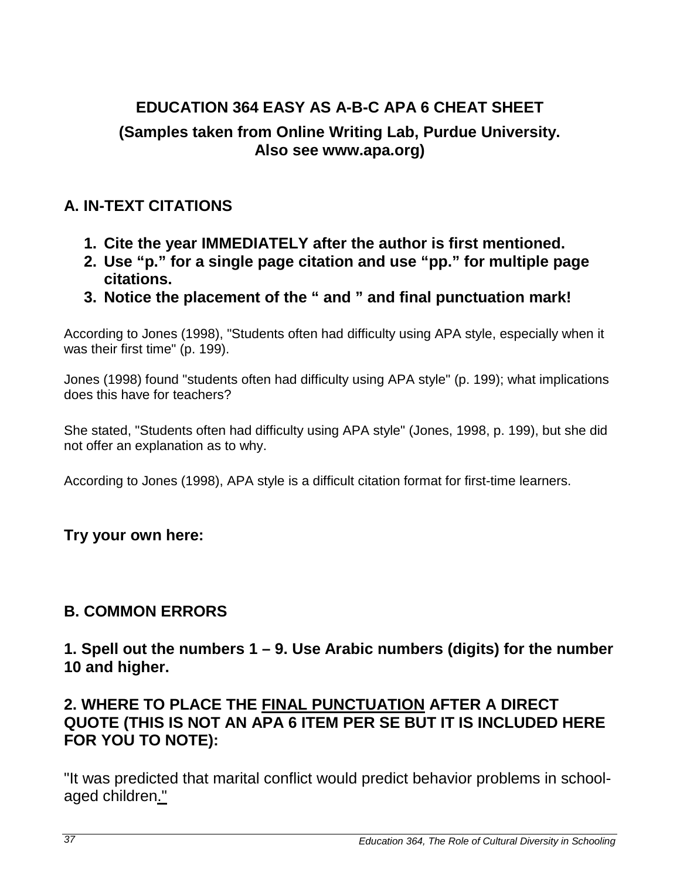# <span id="page-36-0"></span>**EDUCATION 364 EASY AS A-B-C APA 6 CHEAT SHEET (Samples taken from Online Writing Lab, Purdue University. Also see www.apa.org)**

## **A. IN-TEXT CITATIONS**

- **1. Cite the year IMMEDIATELY after the author is first mentioned.**
- **2. Use "p." for a single page citation and use "pp." for multiple page citations.**
- **3. Notice the placement of the " and " and final punctuation mark!**

According to Jones (1998), "Students often had difficulty using APA style, especially when it was their first time" (p. 199).

Jones (1998) found "students often had difficulty using APA style" (p. 199); what implications does this have for teachers?

She stated, "Students often had difficulty using APA style" (Jones, 1998, p. 199), but she did not offer an explanation as to why.

According to Jones (1998), APA style is a difficult citation format for first-time learners.

## **Try your own here:**

## **B. COMMON ERRORS**

**1. Spell out the numbers 1 – 9. Use Arabic numbers (digits) for the number 10 and higher.**

## **2. WHERE TO PLACE THE FINAL PUNCTUATION AFTER A DIRECT QUOTE (THIS IS NOT AN APA 6 ITEM PER SE BUT IT IS INCLUDED HERE FOR YOU TO NOTE):**

"It was predicted that marital conflict would predict behavior problems in schoolaged children."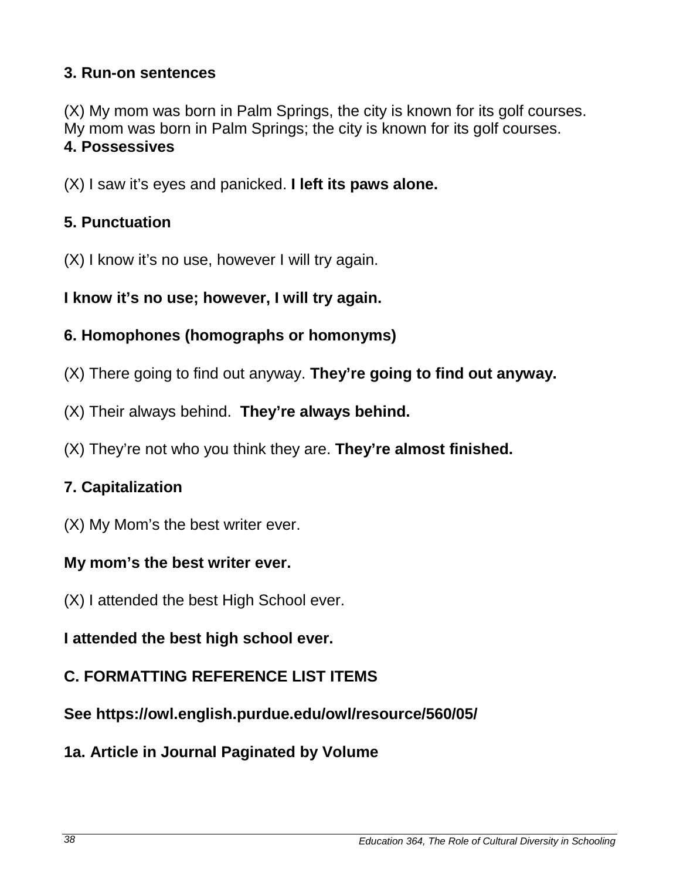## **3. Run-on sentences**

(X) My mom was born in Palm Springs, the city is known for its golf courses. My mom was born in Palm Springs; the city is known for its golf courses. **4. Possessives**

(X) I saw it's eyes and panicked. **I left its paws alone.**

## **5. Punctuation**

(X) I know it's no use, however I will try again.

**I know it's no use; however, I will try again.**

## **6. Homophones (homographs or homonyms)**

- (X) There going to find out anyway. **They're going to find out anyway.**
- (X) Their always behind. **They're always behind.**
- (X) They're not who you think they are. **They're almost finished.**

# **7. Capitalization**

(X) My Mom's the best writer ever.

## **My mom's the best writer ever.**

(X) I attended the best High School ever.

## **I attended the best high school ever.**

# **C. FORMATTING REFERENCE LIST ITEMS**

**See https://owl.english.purdue.edu/owl/resource/560/05/**

## **1a. Article in Journal Paginated by Volume**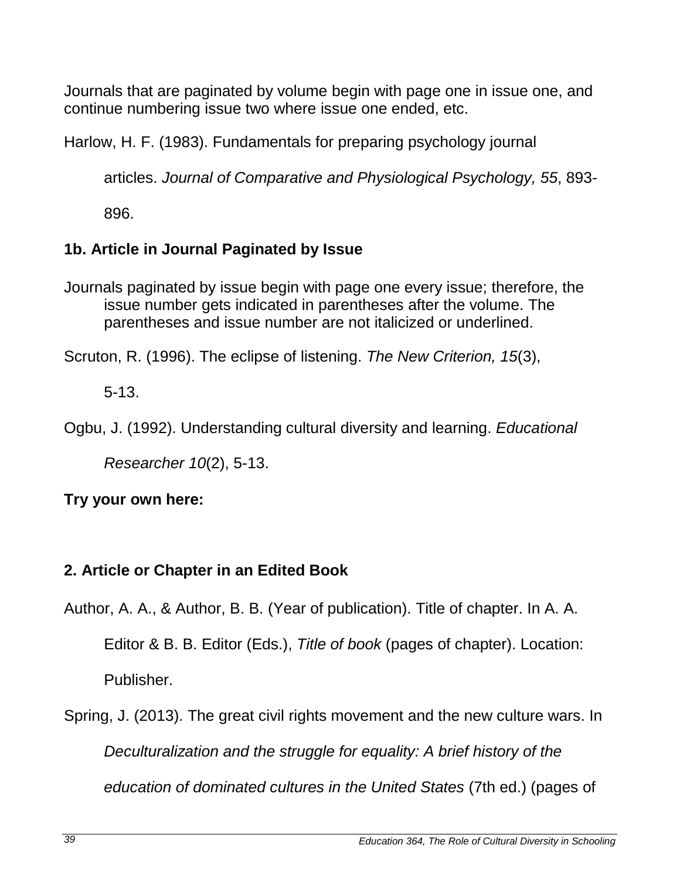Journals that are paginated by volume begin with page one in issue one, and continue numbering issue two where issue one ended, etc.

Harlow, H. F. (1983). Fundamentals for preparing psychology journal

articles. *Journal of Comparative and Physiological Psychology, 55*, 893-

896.

## **1b. Article in Journal Paginated by Issue**

Journals paginated by issue begin with page one every issue; therefore, the issue number gets indicated in parentheses after the volume. The parentheses and issue number are not italicized or underlined.

Scruton, R. (1996). The eclipse of listening. *The New Criterion, 15*(3),

5-13.

Ogbu, J. (1992). Understanding cultural diversity and learning. *Educational* 

*Researcher 10*(2), 5-13.

## **Try your own here:**

## **2. Article or Chapter in an Edited Book**

- Author, A. A., & Author, B. B. (Year of publication). Title of chapter. In A. A. Editor & B. B. Editor (Eds.), *Title of book* (pages of chapter). Location: Publisher.
- Spring, J. (2013). The great civil rights movement and the new culture wars. In *Deculturalization and the struggle for equality: A brief history of the education of dominated cultures in the United States* (7th ed.) (pages of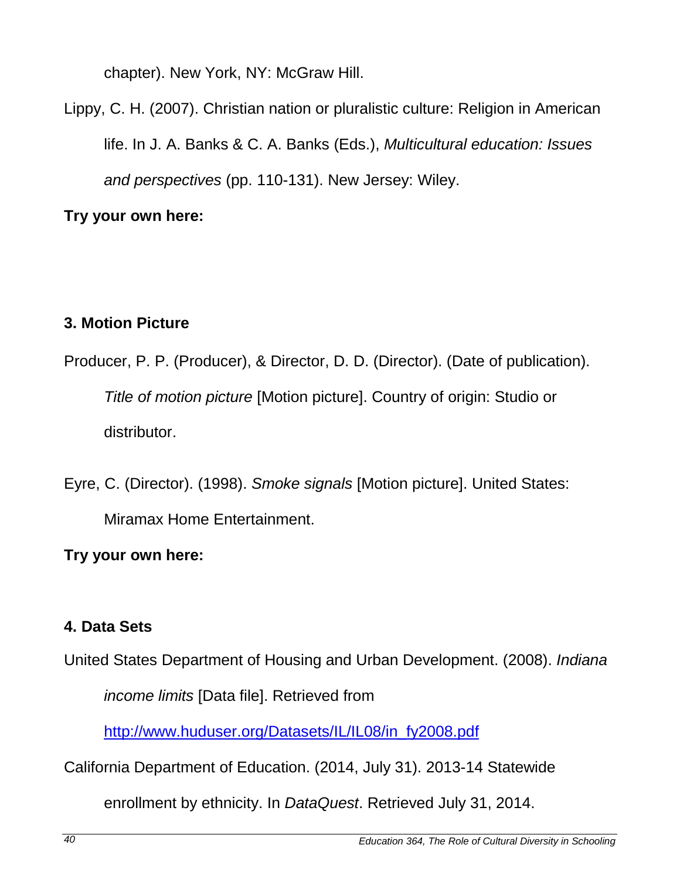chapter). New York, NY: McGraw Hill.

Lippy, C. H. (2007). Christian nation or pluralistic culture: Religion in American life. In J. A. Banks & C. A. Banks (Eds.), *Multicultural education: Issues and perspectives* (pp. 110-131). New Jersey: Wiley.

**Try your own here:** 

# **3. Motion Picture**

Producer, P. P. (Producer), & Director, D. D. (Director). (Date of publication). *Title of motion picture* [Motion picture]. Country of origin: Studio or distributor.

Eyre, C. (Director). (1998). *Smoke signals* [Motion picture]. United States: Miramax Home Entertainment.

**Try your own here:** 

# **4. Data Sets**

United States Department of Housing and Urban Development. (2008). *Indiana* 

*income limits* [Data file]. Retrieved from

[http://www.huduser.org/Datasets/IL/IL08/in\\_fy2008.pdf](http://www.huduser.org/Datasets/IL/IL08/in_fy2008.pdf)

California Department of Education. (2014, July 31). 2013-14 Statewide

enrollment by ethnicity. In *DataQuest*. Retrieved July 31, 2014.